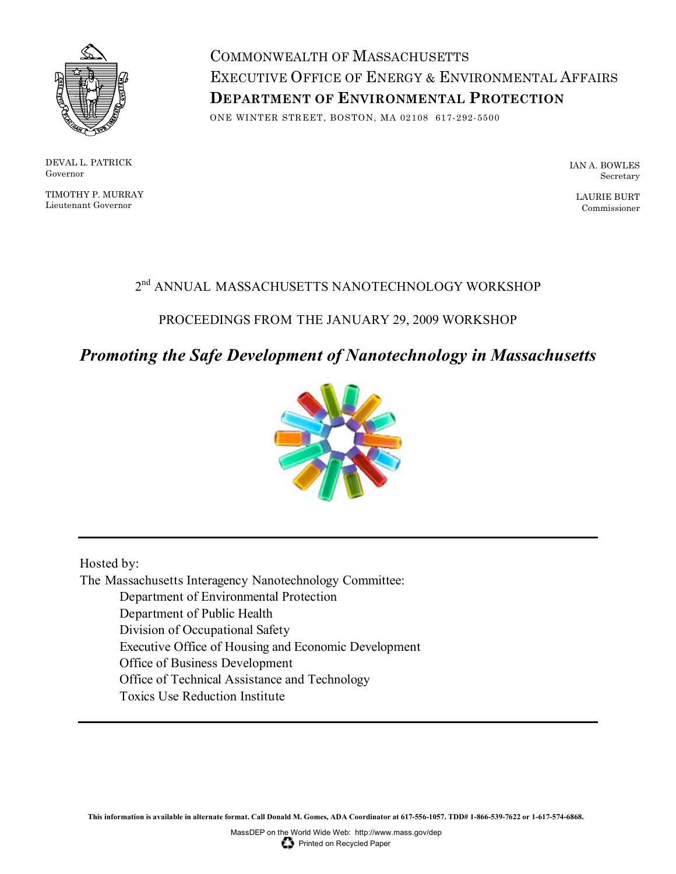

DEVAL L. PATRICK Governor

TIMOTHY P. MURRAY Lieutenant Governor

COMMONWEALTH OF MASSACHUSETTS EXECUTIVE OFFICE OF ENERGY & ENVIRONMENTAL AFFAIRS **DEPARTMENT OF ENVIRONMENTAL PROTECTION**

ONE WINTER STREET, BOSTON, MA 02108 617-292-5500

IAN A. BOWLES Secretary

LAURIE BURT Commissioner

# $2^{\rm nd}$  ANNUAL MASSACHUSETTS NANOTECHNOLOGY WORKSHOP

# PROCEEDINGS FROM THE JANUARY 29, 2009 WORKSHOP

# *Promoting the Safe Development of Nanotechnology in Massachusetts*



Hosted by:

The Massachusetts Interagency Nanotechnology Committee:

Department of Environmental Protection

Department of Public Health

Division of Occupational Safety

Executive Office of Housing and Economic Development

Office of Business Development

Office of Technical Assistance and Technology

Toxics Use Reduction Institute

**This information is available in alternate format. Call Donald M. Gomes, ADA Coordinator at 617-556-1057. TDD# 1-866-539-7622 or 1-617-574-6868.**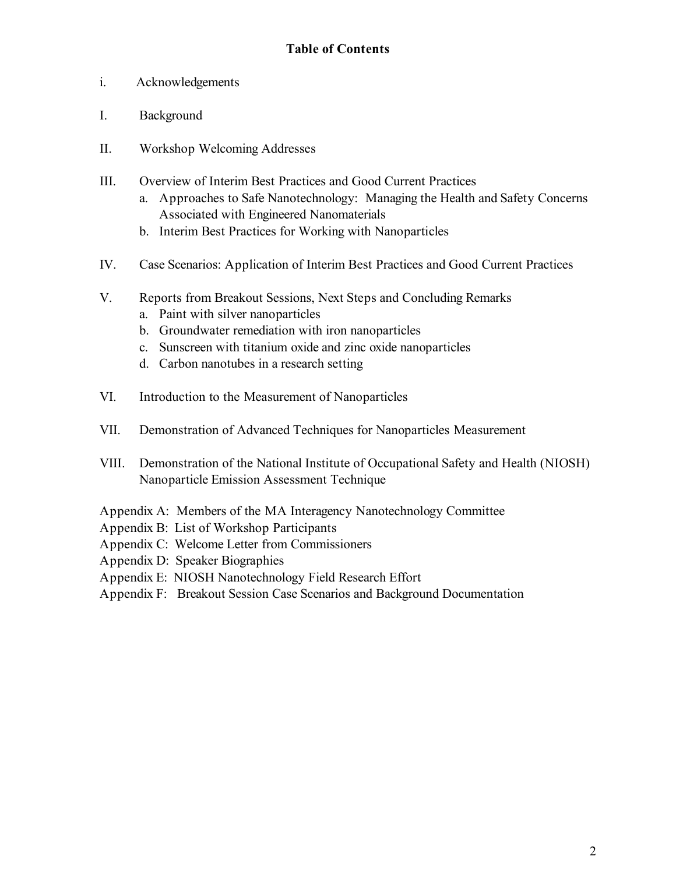- i. Acknowledgements
- I. Background
- II. Workshop Welcoming Addresses
- III. Overview of Interim Best Practices and Good Current Practices
	- a. Approaches to Safe Nanotechnology: Managing the Health and Safety Concerns Associated with Engineered Nanomaterials
	- b. Interim Best Practices for Working with Nanoparticles
- IV. Case Scenarios: Application of Interim Best Practices and Good Current Practices
- V. Reports from Breakout Sessions, Next Steps and Concluding Remarks
	- a. Paint with silver nanoparticles
	- b. Groundwater remediation with iron nanoparticles
	- c. Sunscreen with titanium oxide and zinc oxide nanoparticles
	- d. Carbon nanotubes in a research setting
- VI. Introduction to the Measurement of Nanoparticles
- VII. Demonstration of Advanced Techniques for Nanoparticles Measurement
- VIII. Demonstration of the National Institute of Occupational Safety and Health (NIOSH) Nanoparticle Emission Assessment Technique
- Appendix A: Members of the MA Interagency Nanotechnology Committee
- Appendix B: List of Workshop Participants
- Appendix C: Welcome Letter from Commissioners
- Appendix D: Speaker Biographies
- Appendix E: NIOSH Nanotechnology Field Research Effort
- Appendix F: Breakout Session Case Scenarios and Background Documentation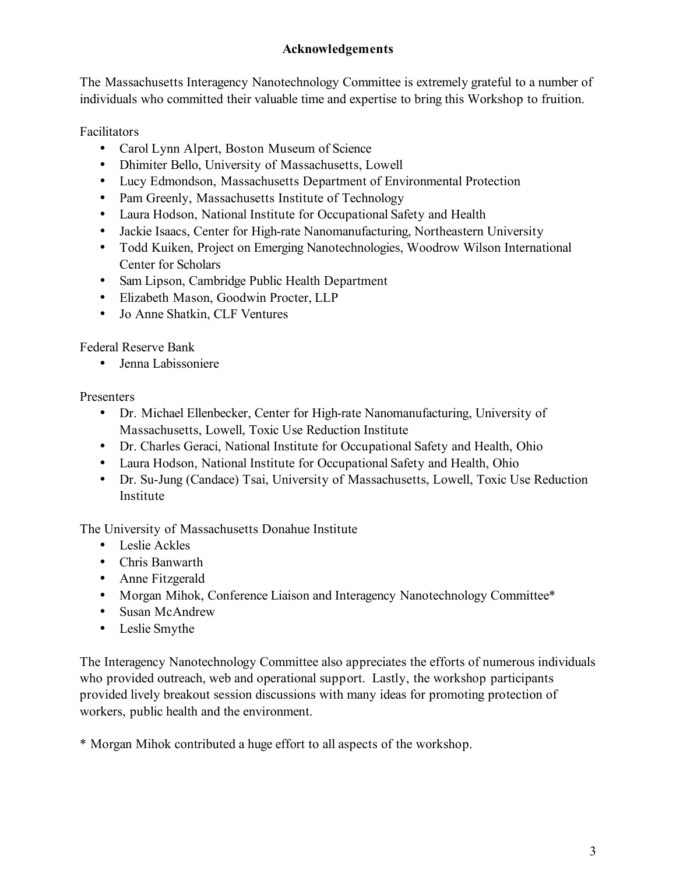# **Acknowledgements**

The Massachusetts Interagency Nanotechnology Committee is extremely grateful to a number of individuals who committed their valuable time and expertise to bring this Workshop to fruition.

Facilitators

- Carol Lynn Alpert, Boston Museum of Science
- Dhimiter Bello, University of Massachusetts, Lowell
- Lucy Edmondson, Massachusetts Department of Environmental Protection
- Pam Greenly, Massachusetts Institute of Technology
- Laura Hodson, National Institute for Occupational Safety and Health
- Jackie Isaacs, Center for High-rate Nanomanufacturing, Northeastern University
- Todd Kuiken, Project on Emerging Nanotechnologies, Woodrow Wilson International Center for Scholars
- Sam Lipson, Cambridge Public Health Department
- Elizabeth Mason, Goodwin Procter, LLP
- Jo Anne Shatkin, CLF Ventures

Federal Reserve Bank

• Jenna Labissoniere

Presenters

- Dr. Michael Ellenbecker, Center for High-rate Nanomanufacturing, University of Massachusetts, Lowell, Toxic Use Reduction Institute
- Dr. Charles Geraci, National Institute for Occupational Safety and Health, Ohio
- Laura Hodson, National Institute for Occupational Safety and Health, Ohio
- Dr. Su-Jung (Candace) Tsai, University of Massachusetts, Lowell, Toxic Use Reduction Institute

The University of Massachusetts Donahue Institute

- Leslie Ackles
- Chris Banwarth
- Anne Fitzgerald
- Morgan Mihok, Conference Liaison and Interagency Nanotechnology Committee\*
- Susan McAndrew
- Leslie Smythe

The Interagency Nanotechnology Committee also appreciates the efforts of numerous individuals who provided outreach, web and operational support. Lastly, the workshop participants provided lively breakout session discussions with many ideas for promoting protection of workers, public health and the environment.

\* Morgan Mihok contributed a huge effort to all aspects of the workshop.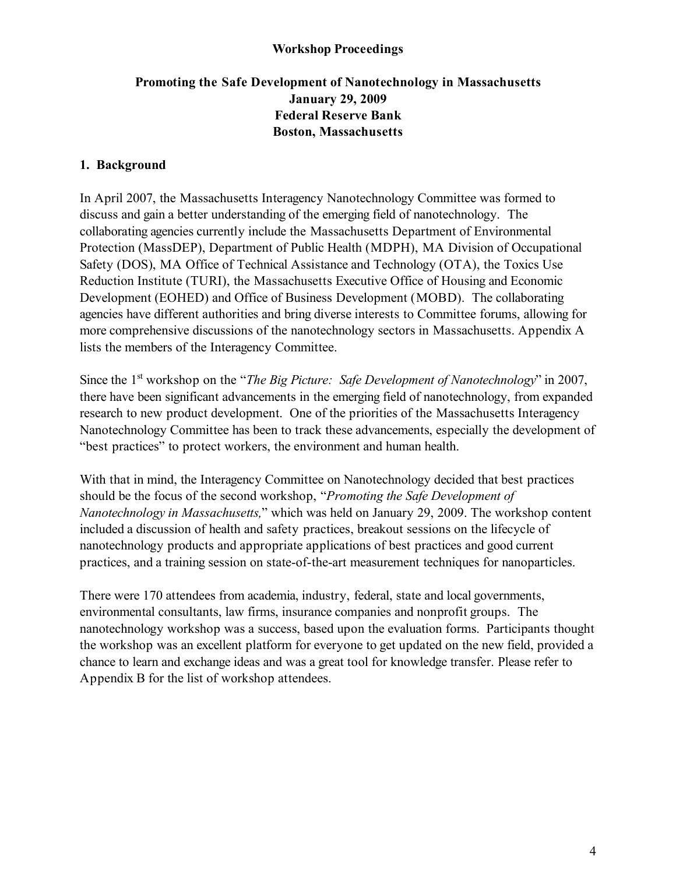### **Workshop Proceedings**

# **Promoting the Safe Development of Nanotechnology in Massachusetts January 29, 2009 Federal Reserve Bank Boston, Massachusetts**

#### **1. Background**

In April 2007, the Massachusetts Interagency Nanotechnology Committee was formed to discuss and gain a better understanding of the emerging field of nanotechnology. The collaborating agencies currently include the Massachusetts Department of Environmental Protection (MassDEP), Department of Public Health (MDPH), MA Division of Occupational Safety (DOS), MA Office of Technical Assistance and Technology (OTA), the Toxics Use Reduction Institute (TURI), the Massachusetts Executive Office of Housing and Economic Development (EOHED) and Office of Business Development (MOBD). The collaborating agencies have different authorities and bring diverse interests to Committee forums, allowing for more comprehensive discussions of the nanotechnology sectors in Massachusetts. Appendix A lists the members of the Interagency Committee.

Since the 1<sup>st</sup> workshop on the "*The Big Picture: Safe Development of Nanotechnology*" in 2007, there have been significant advancements in the emerging field of nanotechnology, from expanded research to new product development. One of the priorities of the Massachusetts Interagency Nanotechnology Committee has been to track these advancements, especially the development of "best practices" to protect workers, the environment and human health.

With that in mind, the Interagency Committee on Nanotechnology decided that best practices should be the focus of the second workshop, "*Promoting the Safe Development of Nanotechnology in Massachusetts,*" which was held on January 29, 2009. The workshop content included a discussion of health and safety practices, breakout sessions on the lifecycle of nanotechnology products and appropriate applications of best practices and good current practices, and a training session on state-of-the-art measurement techniques for nanoparticles.

There were 170 attendees from academia, industry, federal, state and local governments, environmental consultants, law firms, insurance companies and nonprofit groups. The nanotechnology workshop was a success, based upon the evaluation forms. Participants thought the workshop was an excellent platform for everyone to get updated on the new field, provided a chance to learn and exchange ideas and was a great tool for knowledge transfer. Please refer to Appendix B for the list of workshop attendees.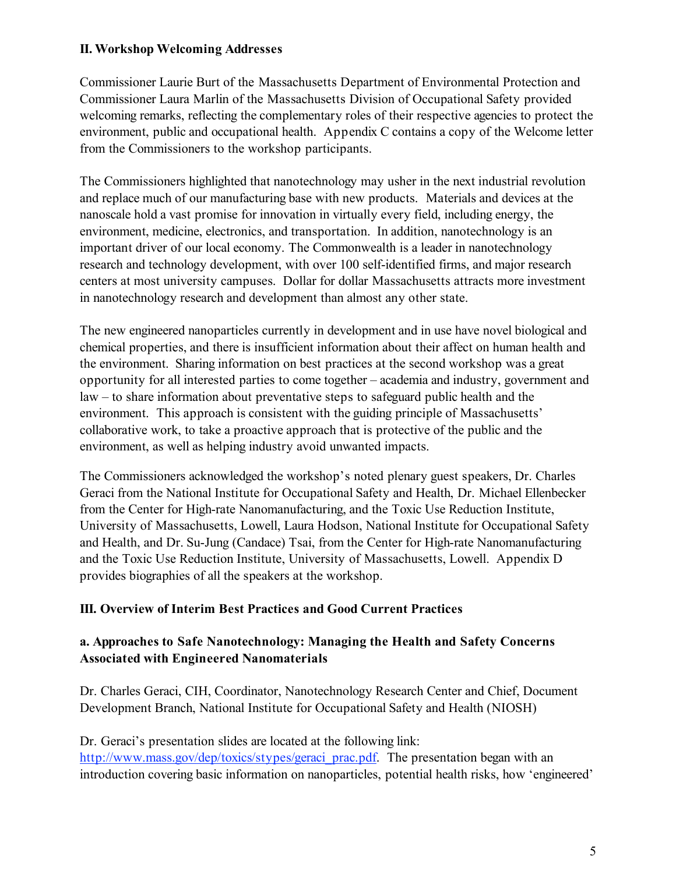## **II. Workshop Welcoming Addresses**

Commissioner Laurie Burt of the Massachusetts Department of Environmental Protection and Commissioner Laura Marlin of the Massachusetts Division of Occupational Safety provided welcoming remarks, reflecting the complementary roles of their respective agencies to protect the environment, public and occupational health. Appendix C contains a copy of the Welcome letter from the Commissioners to the workshop participants.

The Commissioners highlighted that nanotechnology may usher in the next industrial revolution and replace much of our manufacturing base with new products. Materials and devices at the nanoscale hold a vast promise for innovation in virtually every field, including energy, the environment, medicine, electronics, and transportation. In addition, nanotechnology is an important driver of our local economy. The Commonwealth is a leader in nanotechnology research and technology development, with over 100 self-identified firms, and major research centers at most university campuses. Dollar for dollar Massachusetts attracts more investment in nanotechnology research and development than almost any other state.

The new engineered nanoparticles currently in development and in use have novel biological and chemical properties, and there is insufficient information about their affect on human health and the environment. Sharing information on best practices at the second workshop was a great opportunity for all interested parties to come together – academia and industry, government and law – to share information about preventative steps to safeguard public health and the environment. This approach is consistent with the guiding principle of Massachusetts' collaborative work, to take a proactive approach that is protective of the public and the environment, as well as helping industry avoid unwanted impacts.

The Commissioners acknowledged the workshop's noted plenary guest speakers, Dr. Charles Geraci from the National Institute for Occupational Safety and Health, Dr. Michael Ellenbecker from the Center for High-rate Nanomanufacturing, and the Toxic Use Reduction Institute, University of Massachusetts, Lowell, Laura Hodson, National Institute for Occupational Safety and Health, and Dr. Su-Jung (Candace) Tsai, from the Center for High-rate Nanomanufacturing and the Toxic Use Reduction Institute, University of Massachusetts, Lowell. Appendix D provides biographies of all the speakers at the workshop.

#### **III. Overview of Interim Best Practices and Good Current Practices**

# **a. Approaches to Safe Nanotechnology: Managing the Health and Safety Concerns Associated with Engineered Nanomaterials**

Dr. Charles Geraci, CIH, Coordinator, Nanotechnology Research Center and Chief, Document Development Branch, National Institute for Occupational Safety and Health (NIOSH)

Dr. Geraci's presentation slides are located at the following link:

http://www.mass.gov/dep/toxics/stypes/geraci\_prac.pdf. The presentation began with an introduction covering basic information on nanoparticles, potential health risks, how 'engineered'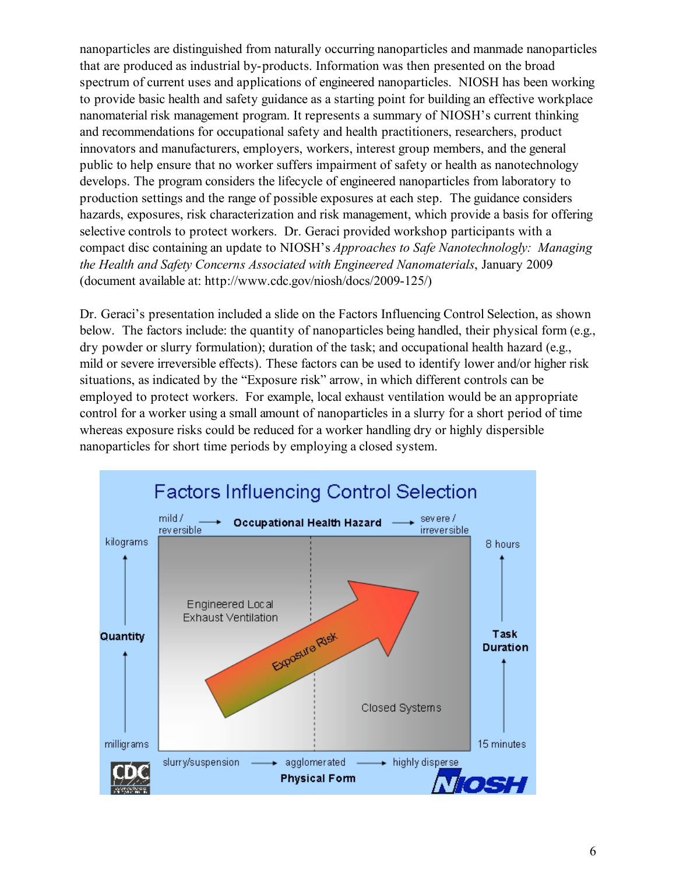nanoparticles are distinguished from naturally occurring nanoparticles and manmade nanoparticles that are produced as industrial by-products. Information was then presented on the broad spectrum of current uses and applications of engineered nanoparticles. NIOSH has been working to provide basic health and safety guidance as a starting point for building an effective workplace nanomaterial risk management program. It represents a summary of NIOSH's current thinking and recommendations for occupational safety and health practitioners, researchers, product innovators and manufacturers, employers, workers, interest group members, and the general public to help ensure that no worker suffers impairment of safety or health as nanotechnology develops. The program considers the lifecycle of engineered nanoparticles from laboratory to production settings and the range of possible exposures at each step. The guidance considers hazards, exposures, risk characterization and risk management, which provide a basis for offering selective controls to protect workers. Dr. Geraci provided workshop participants with a compact disc containing an update to NIOSH's *Approaches to Safe Nanotechnologly: Managing the Health and Safety Concerns Associated with Engineered Nanomaterials*, January 2009 (document available at: http://www.cdc.gov/niosh/docs/2009-125/)

Dr. Geraci's presentation included a slide on the Factors Influencing Control Selection, as shown below. The factors include: the quantity of nanoparticles being handled, their physical form (e.g., dry powder or slurry formulation); duration of the task; and occupational health hazard (e.g., mild or severe irreversible effects). These factors can be used to identify lower and/or higher risk situations, as indicated by the "Exposure risk" arrow, in which different controls can be employed to protect workers. For example, local exhaust ventilation would be an appropriate control for a worker using a small amount of nanoparticles in a slurry for a short period of time whereas exposure risks could be reduced for a worker handling dry or highly dispersible nanoparticles for short time periods by employing a closed system.

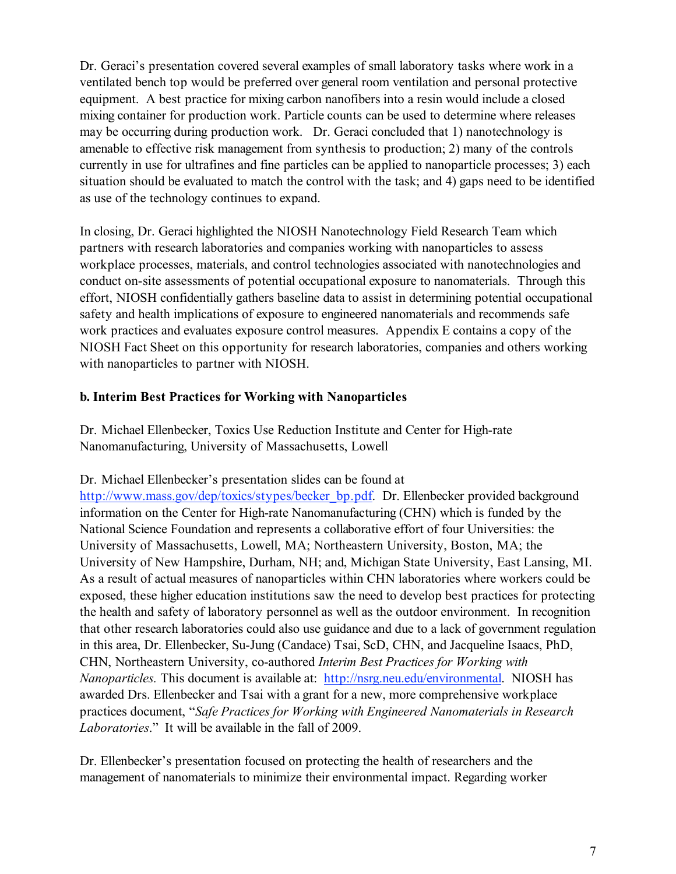Dr. Geraci's presentation covered several examples of small laboratory tasks where work in a ventilated bench top would be preferred over general room ventilation and personal protective equipment. A best practice for mixing carbon nanofibers into a resin would include a closed mixing container for production work. Particle counts can be used to determine where releases may be occurring during production work. Dr. Geraci concluded that 1) nanotechnology is amenable to effective risk management from synthesis to production; 2) many of the controls currently in use for ultrafines and fine particles can be applied to nanoparticle processes; 3) each situation should be evaluated to match the control with the task; and 4) gaps need to be identified as use of the technology continues to expand.

In closing, Dr. Geraci highlighted the NIOSH Nanotechnology Field Research Team which partners with research laboratories and companies working with nanoparticles to assess workplace processes, materials, and control technologies associated with nanotechnologies and conduct on-site assessments of potential occupational exposure to nanomaterials. Through this effort, NIOSH confidentially gathers baseline data to assist in determining potential occupational safety and health implications of exposure to engineered nanomaterials and recommends safe work practices and evaluates exposure control measures. Appendix E contains a copy of the NIOSH Fact Sheet on this opportunity for research laboratories, companies and others working with nanoparticles to partner with NIOSH.

# **b. Interim Best Practices for Working with Nanoparticles**

Dr. Michael Ellenbecker, Toxics Use Reduction Institute and Center for High-rate Nanomanufacturing, University of Massachusetts, Lowell

Dr. Michael Ellenbecker's presentation slides can be found at

http://www.mass.gov/dep/toxics/stypes/becker\_bp.pdf. Dr. Ellenbecker provided background information on the Center for High-rate Nanomanufacturing (CHN) which is funded by the National Science Foundation and represents a collaborative effort of four Universities: the University of Massachusetts, Lowell, MA; Northeastern University, Boston, MA; the University of New Hampshire, Durham, NH; and, Michigan State University, East Lansing, MI. As a result of actual measures of nanoparticles within CHN laboratories where workers could be exposed, these higher education institutions saw the need to develop best practices for protecting the health and safety of laboratory personnel as well as the outdoor environment. In recognition that other research laboratories could also use guidance and due to a lack of government regulation in this area, Dr. Ellenbecker, Su-Jung (Candace) Tsai, ScD, CHN, and Jacqueline Isaacs, PhD, CHN, Northeastern University, co-authored *Interim Best Practices for Working with Nanoparticles.* This document is available at: http://nsrg.neu.edu/environmental. NIOSH has awarded Drs. Ellenbecker and Tsai with a grant for a new, more comprehensive workplace practices document, "*Safe Practices for Working with Engineered Nanomaterials in Research Laboratories*." It will be available in the fall of 2009.

Dr. Ellenbecker's presentation focused on protecting the health of researchers and the management of nanomaterials to minimize their environmental impact. Regarding worker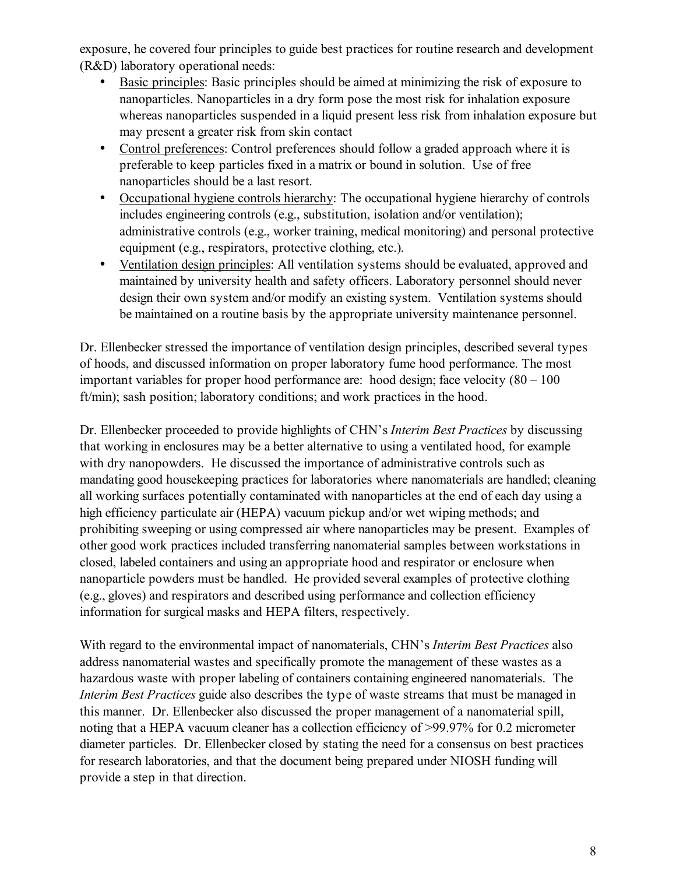exposure, he covered four principles to guide best practices for routine research and development (R&D) laboratory operational needs:

- Basic principles: Basic principles should be aimed at minimizing the risk of exposure to nanoparticles. Nanoparticles in a dry form pose the most risk for inhalation exposure whereas nanoparticles suspended in a liquid present less risk from inhalation exposure but may present a greater risk from skin contact
- Control preferences: Control preferences should follow a graded approach where it is preferable to keep particles fixed in a matrix or bound in solution. Use of free nanoparticles should be a last resort.
- Occupational hygiene controls hierarchy: The occupational hygiene hierarchy of controls includes engineering controls (e.g., substitution, isolation and/or ventilation); administrative controls (e.g., worker training, medical monitoring) and personal protective equipment (e.g., respirators, protective clothing, etc.).
- Ventilation design principles: All ventilation systems should be evaluated, approved and maintained by university health and safety officers. Laboratory personnel should never design their own system and/or modify an existing system. Ventilation systems should be maintained on a routine basis by the appropriate university maintenance personnel.

Dr. Ellenbecker stressed the importance of ventilation design principles, described several types of hoods, and discussed information on proper laboratory fume hood performance. The most important variables for proper hood performance are: hood design; face velocity (80 – 100 ft/min); sash position; laboratory conditions; and work practices in the hood.

Dr. Ellenbecker proceeded to provide highlights of CHN's *Interim Best Practices* by discussing that working in enclosures may be a better alternative to using a ventilated hood, for example with dry nanopowders. He discussed the importance of administrative controls such as mandating good housekeeping practices for laboratories where nanomaterials are handled; cleaning all working surfaces potentially contaminated with nanoparticles at the end of each day using a high efficiency particulate air (HEPA) vacuum pickup and/or wet wiping methods; and prohibiting sweeping or using compressed air where nanoparticles may be present. Examples of other good work practices included transferring nanomaterial samples between workstations in closed, labeled containers and using an appropriate hood and respirator or enclosure when nanoparticle powders must be handled. He provided several examples of protective clothing (e.g., gloves) and respirators and described using performance and collection efficiency information for surgical masks and HEPA filters, respectively.

With regard to the environmental impact of nanomaterials, CHN's *Interim Best Practices* also address nanomaterial wastes and specifically promote the management of these wastes as a hazardous waste with proper labeling of containers containing engineered nanomaterials. The *Interim Best Practices* guide also describes the type of waste streams that must be managed in this manner. Dr. Ellenbecker also discussed the proper management of a nanomaterial spill, noting that a HEPA vacuum cleaner has a collection efficiency of >99.97% for 0.2 micrometer diameter particles. Dr. Ellenbecker closed by stating the need for a consensus on best practices for research laboratories, and that the document being prepared under NIOSH funding will provide a step in that direction.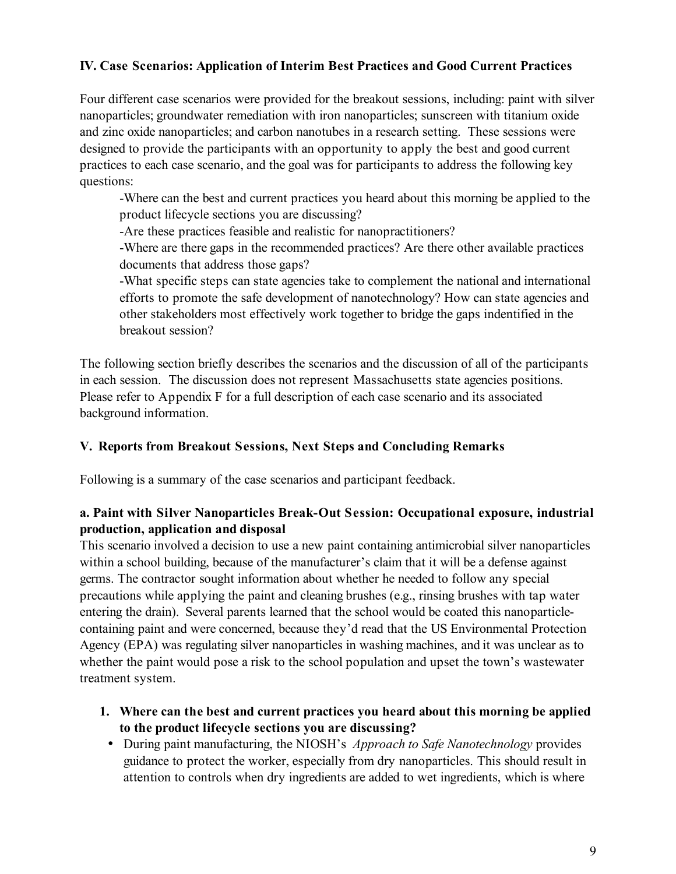# **IV. Case Scenarios: Application of Interim Best Practices and Good Current Practices**

Four different case scenarios were provided for the breakout sessions, including: paint with silver nanoparticles; groundwater remediation with iron nanoparticles; sunscreen with titanium oxide and zinc oxide nanoparticles; and carbon nanotubes in a research setting. These sessions were designed to provide the participants with an opportunity to apply the best and good current practices to each case scenario, and the goal was for participants to address the following key questions:

-Where can the best and current practices you heard about this morning be applied to the product lifecycle sections you are discussing?

-Are these practices feasible and realistic for nanopractitioners?

-Where are there gaps in the recommended practices? Are there other available practices documents that address those gaps?

-What specific steps can state agencies take to complement the national and international efforts to promote the safe development of nanotechnology? How can state agencies and other stakeholders most effectively work together to bridge the gaps indentified in the breakout session?

The following section briefly describes the scenarios and the discussion of all of the participants in each session. The discussion does not represent Massachusetts state agencies positions. Please refer to Appendix F for a full description of each case scenario and its associated background information.

#### **V. Reports from Breakout Sessions, Next Steps and Concluding Remarks**

Following is a summary of the case scenarios and participant feedback.

# **a. Paint with Silver Nanoparticles Break-Out Session: Occupational exposure, industrial production, application and disposal**

This scenario involved a decision to use a new paint containing antimicrobial silver nanoparticles within a school building, because of the manufacturer's claim that it will be a defense against germs. The contractor sought information about whether he needed to follow any special precautions while applying the paint and cleaning brushes (e.g., rinsing brushes with tap water entering the drain). Several parents learned that the school would be coated this nanoparticlecontaining paint and were concerned, because they'd read that the US Environmental Protection Agency (EPA) was regulating silver nanoparticles in washing machines, and it was unclear as to whether the paint would pose a risk to the school population and upset the town's wastewater treatment system.

- **1. Where can the best and current practices you heard about this morning be applied to the product lifecycle sections you are discussing?**
	- During paint manufacturing, the NIOSH's *Approach to Safe Nanotechnology* provides guidance to protect the worker, especially from dry nanoparticles. This should result in attention to controls when dry ingredients are added to wet ingredients, which is where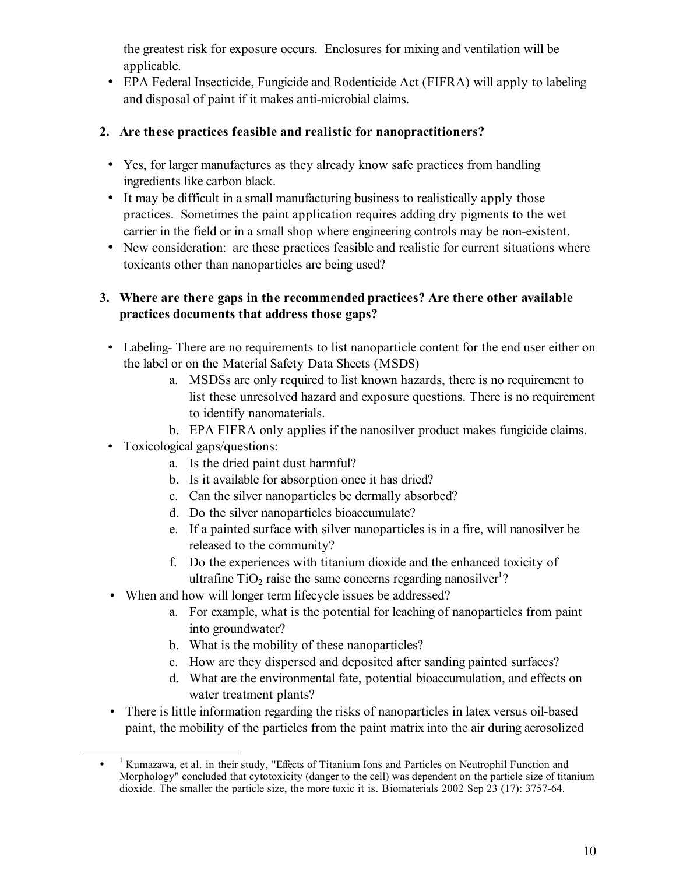the greatest risk for exposure occurs. Enclosures for mixing and ventilation will be applicable.

• EPA Federal Insecticide, Fungicide and Rodenticide Act (FIFRA) will apply to labeling and disposal of paint if it makes anti-microbial claims.

# **2. Are these practices feasible and realistic for nanopractitioners?**

- Yes, for larger manufactures as they already know safe practices from handling ingredients like carbon black.
- It may be difficult in a small manufacturing business to realistically apply those practices. Sometimes the paint application requires adding dry pigments to the wet carrier in the field or in a small shop where engineering controls may be non-existent.
- New consideration: are these practices feasible and realistic for current situations where toxicants other than nanoparticles are being used?

# **3. Where are there gaps in the recommended practices? Are there other available practices documents that address those gaps?**

- Labeling- There are no requirements to list nanoparticle content for the end user either on the label or on the Material Safety Data Sheets (MSDS)
	- a. MSDSs are only required to list known hazards, there is no requirement to list these unresolved hazard and exposure questions. There is no requirement to identify nanomaterials.
	- b. EPA FIFRA only applies if the nanosilver product makes fungicide claims.
- Toxicological gaps/questions:

<u>.</u>

- a. Is the dried paint dust harmful?
- b. Is it available for absorption once it has dried?
- c. Can the silver nanoparticles be dermally absorbed?
- d. Do the silver nanoparticles bioaccumulate?
- e. If a painted surface with silver nanoparticles is in a fire, will nanosilver be released to the community?
- f. Do the experiences with titanium dioxide and the enhanced toxicity of ultrafine  $TiO<sub>2</sub>$  raise the same concerns regarding nanosilver<sup>1</sup>?
- When and how will longer term lifecycle issues be addressed?
	- a. For example, what is the potential for leaching of nanoparticles from paint into groundwater?
	- b. What is the mobility of these nanoparticles?
	- c. How are they dispersed and deposited after sanding painted surfaces?
	- d. What are the environmental fate, potential bioaccumulation, and effects on water treatment plants?
- There is little information regarding the risks of nanoparticles in latex versus oil-based paint, the mobility of the particles from the paint matrix into the air during aerosolized

<sup>•</sup> <sup>1</sup> Kumazawa, et al. in their study, "Effects of Titanium Ions and Particles on Neutrophil Function and Morphology" concluded that cytotoxicity (danger to the cell) was dependent on the particle size of titanium dioxide. The smaller the particle size, the more toxic it is. Biomaterials 2002 Sep 23 (17): 3757-64.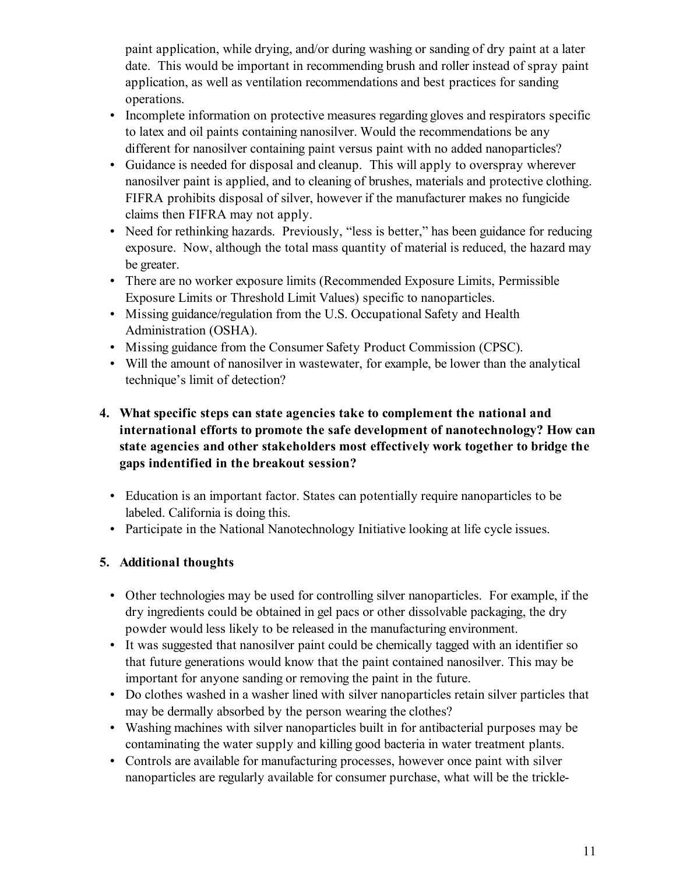paint application, while drying, and/or during washing or sanding of dry paint at a later date. This would be important in recommending brush and roller instead of spray paint application, as well as ventilation recommendations and best practices for sanding operations.

- Incomplete information on protective measures regarding gloves and respirators specific to latex and oil paints containing nanosilver. Would the recommendations be any different for nanosilver containing paint versus paint with no added nanoparticles?
- Guidance is needed for disposal and cleanup. This will apply to overspray wherever nanosilver paint is applied, and to cleaning of brushes, materials and protective clothing. FIFRA prohibits disposal of silver, however if the manufacturer makes no fungicide claims then FIFRA may not apply.
- Need for rethinking hazards. Previously, "less is better," has been guidance for reducing exposure. Now, although the total mass quantity of material is reduced, the hazard may be greater.
- There are no worker exposure limits (Recommended Exposure Limits, Permissible Exposure Limits or Threshold Limit Values) specific to nanoparticles.
- Missing guidance/regulation from the U.S. Occupational Safety and Health Administration (OSHA).
- Missing guidance from the Consumer Safety Product Commission (CPSC).
- Will the amount of nanosilver in wastewater, for example, be lower than the analytical technique's limit of detection?

# **4. What specific steps can state agencies take to complement the national and international efforts to promote the safe development of nanotechnology? How can state agencies and other stakeholders most effectively work together to bridge the gaps indentified in the breakout session?**

- Education is an important factor. States can potentially require nanoparticles to be labeled. California is doing this.
- Participate in the National Nanotechnology Initiative looking at life cycle issues.

# **5. Additional thoughts**

- Other technologies may be used for controlling silver nanoparticles. For example, if the dry ingredients could be obtained in gel pacs or other dissolvable packaging, the dry powder would less likely to be released in the manufacturing environment.
- It was suggested that nanosilver paint could be chemically tagged with an identifier so that future generations would know that the paint contained nanosilver. This may be important for anyone sanding or removing the paint in the future.
- Do clothes washed in a washer lined with silver nanoparticles retain silver particles that may be dermally absorbed by the person wearing the clothes?
- Washing machines with silver nanoparticles built in for antibacterial purposes may be contaminating the water supply and killing good bacteria in water treatment plants.
- Controls are available for manufacturing processes, however once paint with silver nanoparticles are regularly available for consumer purchase, what will be the trickle-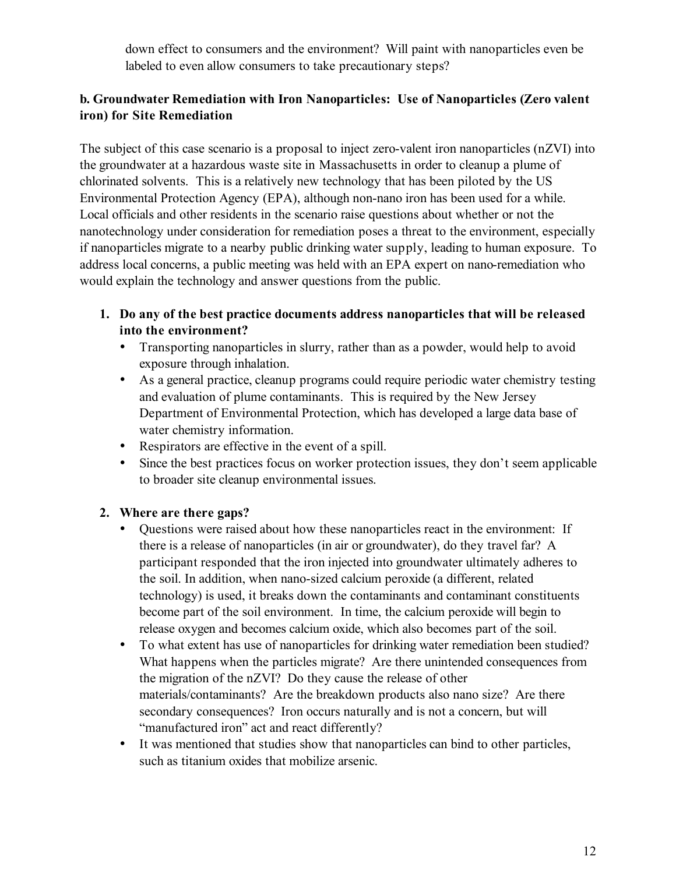down effect to consumers and the environment? Will paint with nanoparticles even be labeled to even allow consumers to take precautionary steps?

# **b. Groundwater Remediation with Iron Nanoparticles: Use of Nanoparticles (Zero valent iron) for Site Remediation**

The subject of this case scenario is a proposal to inject zero-valent iron nanoparticles (nZVI) into the groundwater at a hazardous waste site in Massachusetts in order to cleanup a plume of chlorinated solvents. This is a relatively new technology that has been piloted by the US Environmental Protection Agency (EPA), although non-nano iron has been used for a while. Local officials and other residents in the scenario raise questions about whether or not the nanotechnology under consideration for remediation poses a threat to the environment, especially if nanoparticles migrate to a nearby public drinking water supply, leading to human exposure. To address local concerns, a public meeting was held with an EPA expert on nano-remediation who would explain the technology and answer questions from the public.

- **1. Do any of the best practice documents address nanoparticles that will be released into the environment?**
	- Transporting nanoparticles in slurry, rather than as a powder, would help to avoid exposure through inhalation.
	- As a general practice, cleanup programs could require periodic water chemistry testing and evaluation of plume contaminants. This is required by the New Jersey Department of Environmental Protection, which has developed a large data base of water chemistry information.
	- Respirators are effective in the event of a spill.
	- Since the best practices focus on worker protection issues, they don't seem applicable to broader site cleanup environmental issues.

# **2. Where are there gaps?**

- Questions were raised about how these nanoparticles react in the environment: If there is a release of nanoparticles (in air or groundwater), do they travel far? A participant responded that the iron injected into groundwater ultimately adheres to the soil. In addition, when nano-sized calcium peroxide (a different, related technology) is used, it breaks down the contaminants and contaminant constituents become part of the soil environment. In time, the calcium peroxide will begin to release oxygen and becomes calcium oxide, which also becomes part of the soil.
- To what extent has use of nanoparticles for drinking water remediation been studied? What happens when the particles migrate? Are there unintended consequences from the migration of the nZVI? Do they cause the release of other materials/contaminants? Are the breakdown products also nano size? Are there secondary consequences? Iron occurs naturally and is not a concern, but will "manufactured iron" act and react differently?
- It was mentioned that studies show that nanoparticles can bind to other particles, such as titanium oxides that mobilize arsenic.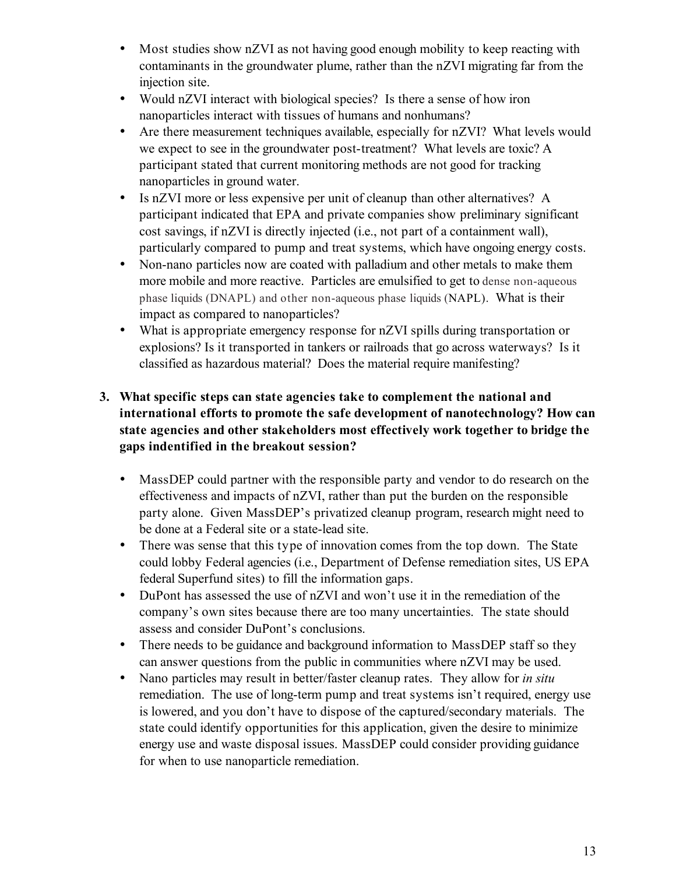- Most studies show nZVI as not having good enough mobility to keep reacting with contaminants in the groundwater plume, rather than the nZVI migrating far from the injection site.
- Would nZVI interact with biological species? Is there a sense of how iron nanoparticles interact with tissues of humans and nonhumans?
- Are there measurement techniques available, especially for nZVI? What levels would we expect to see in the groundwater post-treatment? What levels are toxic? A participant stated that current monitoring methods are not good for tracking nanoparticles in ground water.
- Is nZVI more or less expensive per unit of cleanup than other alternatives? A participant indicated that EPA and private companies show preliminary significant cost savings, if nZVI is directly injected (i.e., not part of a containment wall), particularly compared to pump and treat systems, which have ongoing energy costs.
- Non-nano particles now are coated with palladium and other metals to make them more mobile and more reactive. Particles are emulsified to get to dense non-aqueous phase liquids (DNAPL) and other non-aqueous phase liquids (NAPL). What is their impact as compared to nanoparticles?
- What is appropriate emergency response for nZVI spills during transportation or explosions? Is it transported in tankers or railroads that go across waterways? Is it classified as hazardous material? Does the material require manifesting?

# **3. What specific steps can state agencies take to complement the national and international efforts to promote the safe development of nanotechnology? How can state agencies and other stakeholders most effectively work together to bridge the gaps indentified in the breakout session?**

- MassDEP could partner with the responsible party and vendor to do research on the effectiveness and impacts of nZVI, rather than put the burden on the responsible party alone. Given MassDEP's privatized cleanup program, research might need to be done at a Federal site or a state-lead site.
- There was sense that this type of innovation comes from the top down. The State could lobby Federal agencies (i.e., Department of Defense remediation sites, US EPA federal Superfund sites) to fill the information gaps.
- DuPont has assessed the use of nZVI and won't use it in the remediation of the company's own sites because there are too many uncertainties. The state should assess and consider DuPont's conclusions.
- There needs to be guidance and background information to MassDEP staff so they can answer questions from the public in communities where nZVI may be used.
- Nano particles may result in better/faster cleanup rates. They allow for *in situ* remediation. The use of long-term pump and treat systems isn't required, energy use is lowered, and you don't have to dispose of the captured/secondary materials. The state could identify opportunities for this application, given the desire to minimize energy use and waste disposal issues. MassDEP could consider providing guidance for when to use nanoparticle remediation.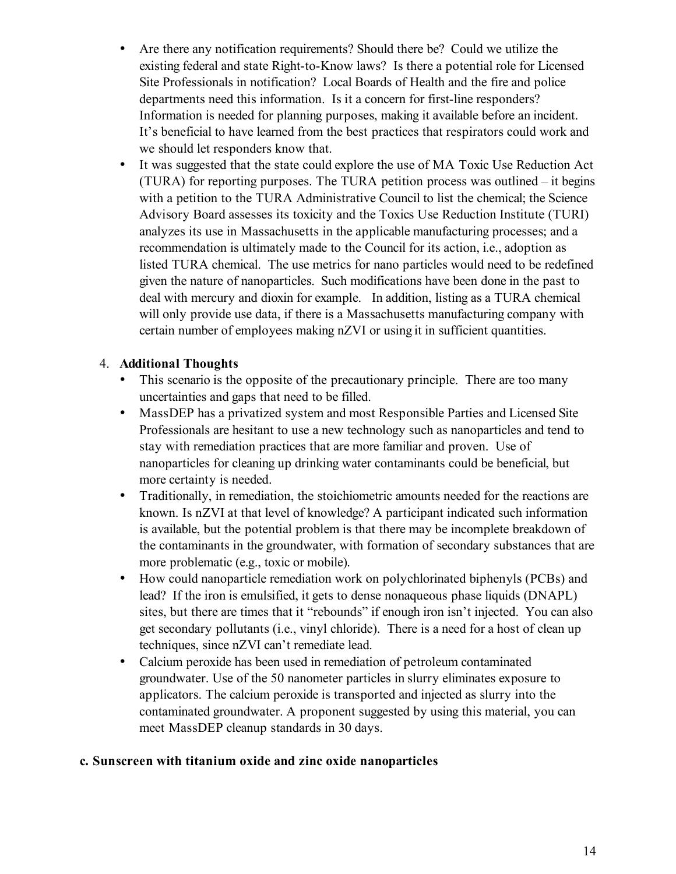- Are there any notification requirements? Should there be? Could we utilize the existing federal and state Right-to-Know laws? Is there a potential role for Licensed Site Professionals in notification? Local Boards of Health and the fire and police departments need this information. Is it a concern for first-line responders? Information is needed for planning purposes, making it available before an incident. It's beneficial to have learned from the best practices that respirators could work and we should let responders know that.
- It was suggested that the state could explore the use of MA Toxic Use Reduction Act (TURA) for reporting purposes. The TURA petition process was outlined – it begins with a petition to the TURA Administrative Council to list the chemical; the Science Advisory Board assesses its toxicity and the Toxics Use Reduction Institute (TURI) analyzes its use in Massachusetts in the applicable manufacturing processes; and a recommendation is ultimately made to the Council for its action, i.e., adoption as listed TURA chemical. The use metrics for nano particles would need to be redefined given the nature of nanoparticles. Such modifications have been done in the past to deal with mercury and dioxin for example. In addition, listing as a TURA chemical will only provide use data, if there is a Massachusetts manufacturing company with certain number of employees making nZVI or using it in sufficient quantities.

# 4. **Additional Thoughts**

- This scenario is the opposite of the precautionary principle. There are too many uncertainties and gaps that need to be filled.
- MassDEP has a privatized system and most Responsible Parties and Licensed Site Professionals are hesitant to use a new technology such as nanoparticles and tend to stay with remediation practices that are more familiar and proven. Use of nanoparticles for cleaning up drinking water contaminants could be beneficial, but more certainty is needed.
- Traditionally, in remediation, the stoichiometric amounts needed for the reactions are known. Is nZVI at that level of knowledge? A participant indicated such information is available, but the potential problem is that there may be incomplete breakdown of the contaminants in the groundwater, with formation of secondary substances that are more problematic (e.g., toxic or mobile).
- How could nanoparticle remediation work on polychlorinated biphenyls (PCBs) and lead? If the iron is emulsified, it gets to dense nonaqueous phase liquids (DNAPL) sites, but there are times that it "rebounds" if enough iron isn't injected. You can also get secondary pollutants (i.e., vinyl chloride). There is a need for a host of clean up techniques, since nZVI can't remediate lead.
- Calcium peroxide has been used in remediation of petroleum contaminated groundwater. Use of the 50 nanometer particles in slurry eliminates exposure to applicators. The calcium peroxide is transported and injected as slurry into the contaminated groundwater. A proponent suggested by using this material, you can meet MassDEP cleanup standards in 30 days.

### **c. Sunscreen with titanium oxide and zinc oxide nanoparticles**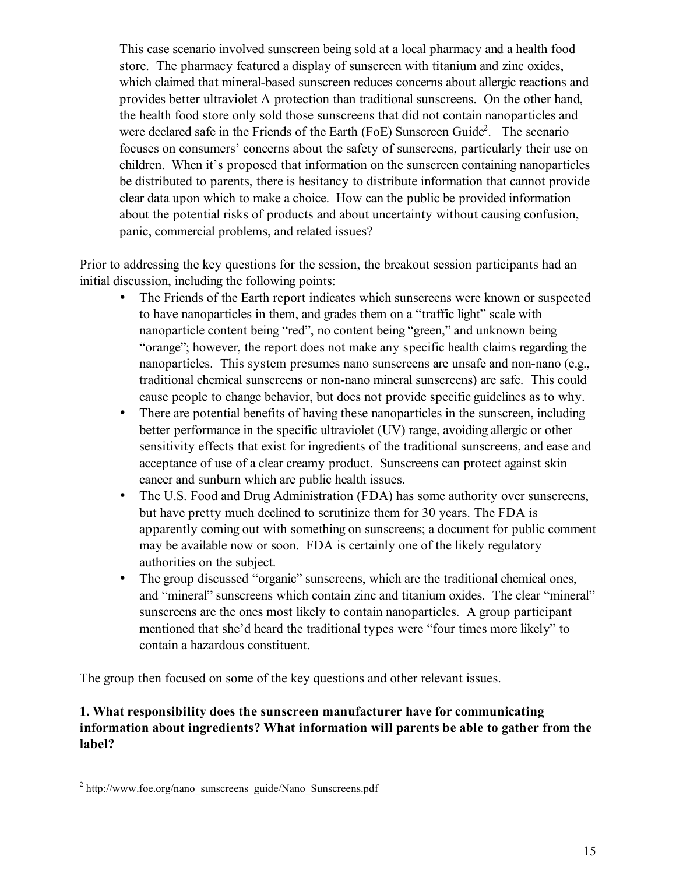This case scenario involved sunscreen being sold at a local pharmacy and a health food store. The pharmacy featured a display of sunscreen with titanium and zinc oxides, which claimed that mineral-based sunscreen reduces concerns about allergic reactions and provides better ultraviolet A protection than traditional sunscreens. On the other hand, the health food store only sold those sunscreens that did not contain nanoparticles and were declared safe in the Friends of the Earth (FoE) Sunscreen Guide<sup>2</sup>. The scenario focuses on consumers' concerns about the safety of sunscreens, particularly their use on children. When it's proposed that information on the sunscreen containing nanoparticles be distributed to parents, there is hesitancy to distribute information that cannot provide clear data upon which to make a choice. How can the public be provided information about the potential risks of products and about uncertainty without causing confusion, panic, commercial problems, and related issues?

Prior to addressing the key questions for the session, the breakout session participants had an initial discussion, including the following points:

- The Friends of the Earth report indicates which sunscreens were known or suspected to have nanoparticles in them, and grades them on a "traffic light" scale with nanoparticle content being "red", no content being "green," and unknown being "orange"; however, the report does not make any specific health claims regarding the nanoparticles. This system presumes nano sunscreens are unsafe and non-nano (e.g., traditional chemical sunscreens or non-nano mineral sunscreens) are safe. This could cause people to change behavior, but does not provide specific guidelines as to why.
- There are potential benefits of having these nanoparticles in the sunscreen, including better performance in the specific ultraviolet (UV) range, avoiding allergic or other sensitivity effects that exist for ingredients of the traditional sunscreens, and ease and acceptance of use of a clear creamy product. Sunscreens can protect against skin cancer and sunburn which are public health issues.
- The U.S. Food and Drug Administration (FDA) has some authority over sunscreens, but have pretty much declined to scrutinize them for 30 years. The FDA is apparently coming out with something on sunscreens; a document for public comment may be available now or soon. FDA is certainly one of the likely regulatory authorities on the subject.
- The group discussed "organic" sunscreens, which are the traditional chemical ones, and "mineral" sunscreens which contain zinc and titanium oxides. The clear "mineral" sunscreens are the ones most likely to contain nanoparticles. A group participant mentioned that she'd heard the traditional types were "four times more likely" to contain a hazardous constituent.

The group then focused on some of the key questions and other relevant issues.

# **1. What responsibility does the sunscreen manufacturer have for communicating information about ingredients? What information will parents be able to gather from the label?**

<sup>&</sup>lt;sup>2</sup> http://www.foe.org/nano\_sunscreens\_guide/Nano\_Sunscreens.pdf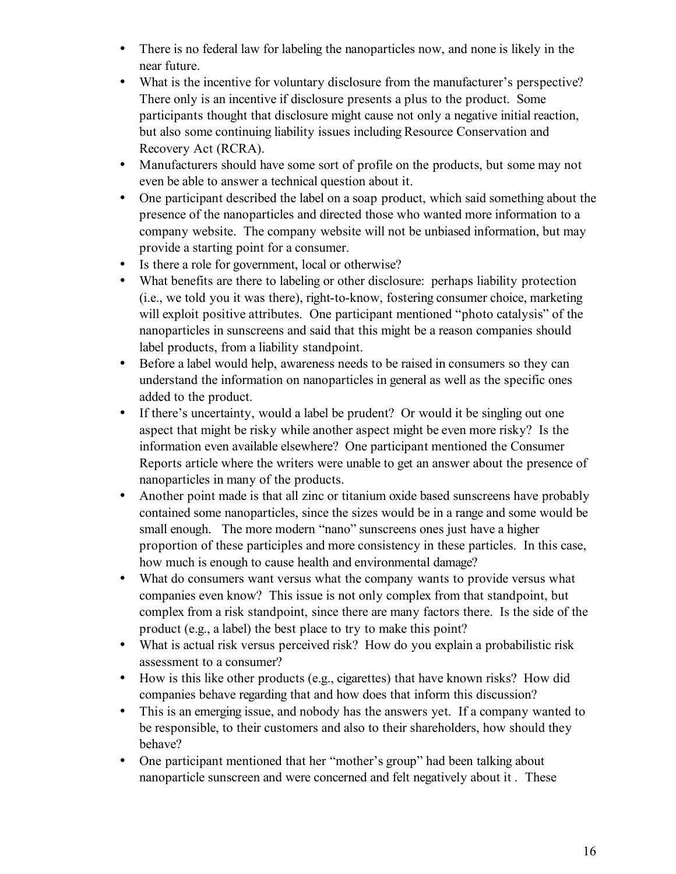- There is no federal law for labeling the nanoparticles now, and none is likely in the near future.
- What is the incentive for voluntary disclosure from the manufacturer's perspective? There only is an incentive if disclosure presents a plus to the product. Some participants thought that disclosure might cause not only a negative initial reaction, but also some continuing liability issues including Resource Conservation and Recovery Act (RCRA).
- Manufacturers should have some sort of profile on the products, but some may not even be able to answer a technical question about it.
- One participant described the label on a soap product, which said something about the presence of the nanoparticles and directed those who wanted more information to a company website. The company website will not be unbiased information, but may provide a starting point for a consumer.
- Is there a role for government, local or otherwise?
- What benefits are there to labeling or other disclosure: perhaps liability protection (i.e., we told you it was there), right-to-know, fostering consumer choice, marketing will exploit positive attributes. One participant mentioned "photo catalysis" of the nanoparticles in sunscreens and said that this might be a reason companies should label products, from a liability standpoint.
- Before a label would help, awareness needs to be raised in consumers so they can understand the information on nanoparticles in general as well as the specific ones added to the product.
- If there's uncertainty, would a label be prudent? Or would it be singling out one aspect that might be risky while another aspect might be even more risky? Is the information even available elsewhere? One participant mentioned the Consumer Reports article where the writers were unable to get an answer about the presence of nanoparticles in many of the products.
- Another point made is that all zinc or titanium oxide based sunscreens have probably contained some nanoparticles, since the sizes would be in a range and some would be small enough. The more modern "nano" sunscreens ones just have a higher proportion of these participles and more consistency in these particles. In this case, how much is enough to cause health and environmental damage?
- What do consumers want versus what the company wants to provide versus what companies even know? This issue is not only complex from that standpoint, but complex from a risk standpoint, since there are many factors there. Is the side of the product (e.g., a label) the best place to try to make this point?
- What is actual risk versus perceived risk? How do you explain a probabilistic risk assessment to a consumer?
- How is this like other products (e.g., cigarettes) that have known risks? How did companies behave regarding that and how does that inform this discussion?
- This is an emerging issue, and nobody has the answers yet. If a company wanted to be responsible, to their customers and also to their shareholders, how should they behave?
- One participant mentioned that her "mother's group" had been talking about nanoparticle sunscreen and were concerned and felt negatively about it . These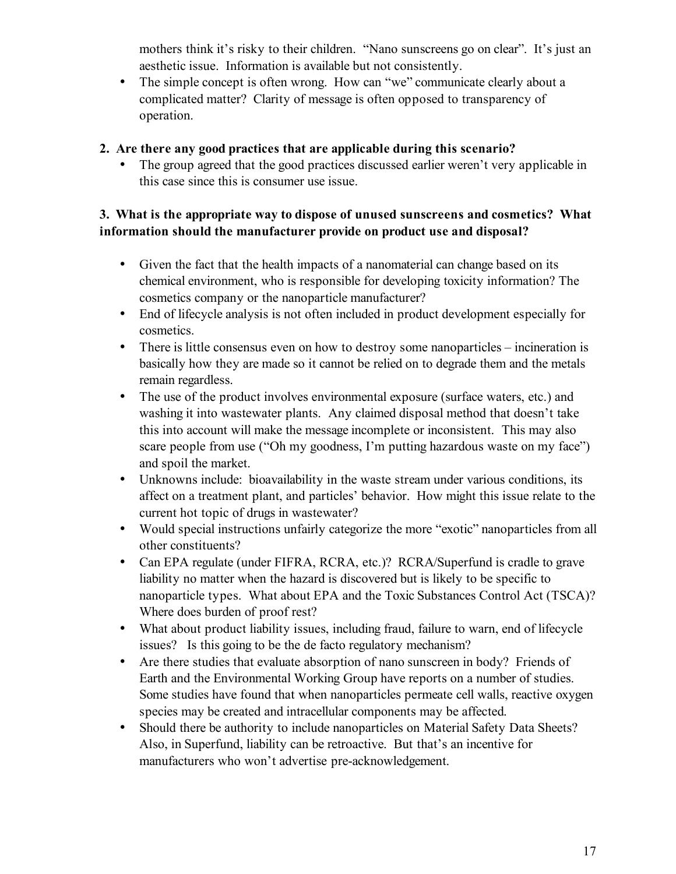mothers think it's risky to their children. "Nano sunscreens go on clear". It's just an aesthetic issue. Information is available but not consistently.

• The simple concept is often wrong. How can "we" communicate clearly about a complicated matter? Clarity of message is often opposed to transparency of operation.

# **2. Are there any good practices that are applicable during this scenario?**

• The group agreed that the good practices discussed earlier weren't very applicable in this case since this is consumer use issue.

# **3. What is the appropriate way to dispose of unused sunscreens and cosmetics? What information should the manufacturer provide on product use and disposal?**

- Given the fact that the health impacts of a nanomaterial can change based on its chemical environment, who is responsible for developing toxicity information? The cosmetics company or the nanoparticle manufacturer?
- End of lifecycle analysis is not often included in product development especially for cosmetics.
- There is little consensus even on how to destroy some nanoparticles incineration is basically how they are made so it cannot be relied on to degrade them and the metals remain regardless.
- The use of the product involves environmental exposure (surface waters, etc.) and washing it into wastewater plants. Any claimed disposal method that doesn't take this into account will make the message incomplete or inconsistent. This may also scare people from use ("Oh my goodness, I'm putting hazardous waste on my face") and spoil the market.
- Unknowns include: bioavailability in the waste stream under various conditions, its affect on a treatment plant, and particles' behavior. How might this issue relate to the current hot topic of drugs in wastewater?
- Would special instructions unfairly categorize the more "exotic" nanoparticles from all other constituents?
- Can EPA regulate (under FIFRA, RCRA, etc.)? RCRA/Superfund is cradle to grave liability no matter when the hazard is discovered but is likely to be specific to nanoparticle types. What about EPA and the Toxic Substances Control Act (TSCA)? Where does burden of proof rest?
- What about product liability issues, including fraud, failure to warn, end of lifecycle issues? Is this going to be the de facto regulatory mechanism?
- Are there studies that evaluate absorption of nano sunscreen in body? Friends of Earth and the Environmental Working Group have reports on a number of studies. Some studies have found that when nanoparticles permeate cell walls, reactive oxygen species may be created and intracellular components may be affected.
- Should there be authority to include nanoparticles on Material Safety Data Sheets? Also, in Superfund, liability can be retroactive. But that's an incentive for manufacturers who won't advertise pre-acknowledgement.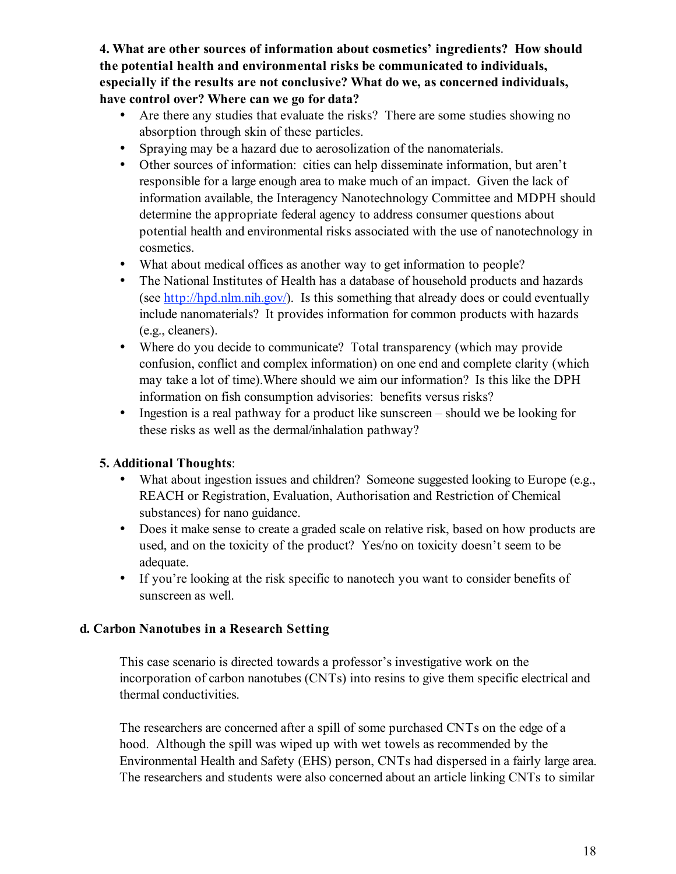**4. What are other sources of information about cosmetics' ingredients? How should the potential health and environmental risks be communicated to individuals, especially if the results are not conclusive? What do we, as concerned individuals, have control over? Where can we go for data?**

- Are there any studies that evaluate the risks? There are some studies showing no absorption through skin of these particles.
- Spraying may be a hazard due to aerosolization of the nanomaterials.
- Other sources of information: cities can help disseminate information, but aren't responsible for a large enough area to make much of an impact. Given the lack of information available, the Interagency Nanotechnology Committee and MDPH should determine the appropriate federal agency to address consumer questions about potential health and environmental risks associated with the use of nanotechnology in cosmetics.
- What about medical offices as another way to get information to people?
- The National Institutes of Health has a database of household products and hazards (see http://hpd.nlm.nih.gov/). Is this something that already does or could eventually include nanomaterials? It provides information for common products with hazards (e.g., cleaners).
- Where do you decide to communicate? Total transparency (which may provide confusion, conflict and complex information) on one end and complete clarity (which may take a lot of time).Where should we aim our information? Is this like the DPH information on fish consumption advisories: benefits versus risks?
- Ingestion is a real pathway for a product like sunscreen should we be looking for these risks as well as the dermal/inhalation pathway?

# **5. Additional Thoughts**:

- What about ingestion issues and children? Someone suggested looking to Europe (e.g., REACH or Registration, Evaluation, Authorisation and Restriction of Chemical substances) for nano guidance.
- Does it make sense to create a graded scale on relative risk, based on how products are used, and on the toxicity of the product? Yes/no on toxicity doesn't seem to be adequate.
- If you're looking at the risk specific to nanotech you want to consider benefits of sunscreen as well.

# **d. Carbon Nanotubes in a Research Setting**

This case scenario is directed towards a professor's investigative work on the incorporation of carbon nanotubes (CNTs) into resins to give them specific electrical and thermal conductivities.

The researchers are concerned after a spill of some purchased CNTs on the edge of a hood. Although the spill was wiped up with wet towels as recommended by the Environmental Health and Safety (EHS) person, CNTs had dispersed in a fairly large area. The researchers and students were also concerned about an article linking CNTs to similar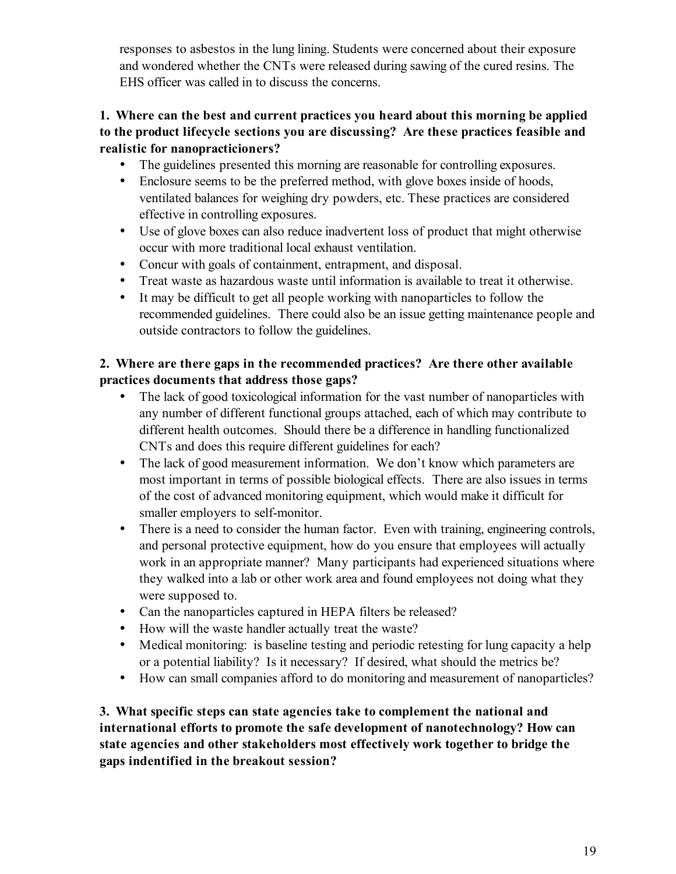responses to asbestos in the lung lining. Students were concerned about their exposure and wondered whether the CNTs were released during sawing of the cured resins. The EHS officer was called in to discuss the concerns.

# **1. Where can the best and current practices you heard about this morning be applied to the product lifecycle sections you are discussing? Are these practices feasible and realistic for nanopracticioners?**

- The guidelines presented this morning are reasonable for controlling exposures.
- Enclosure seems to be the preferred method, with glove boxes inside of hoods, ventilated balances for weighing dry powders, etc. These practices are considered effective in controlling exposures.
- Use of glove boxes can also reduce inadvertent loss of product that might otherwise occur with more traditional local exhaust ventilation.
- Concur with goals of containment, entrapment, and disposal.
- Treat waste as hazardous waste until information is available to treat it otherwise.
- It may be difficult to get all people working with nanoparticles to follow the recommended guidelines. There could also be an issue getting maintenance people and outside contractors to follow the guidelines.

# **2. Where are there gaps in the recommended practices? Are there other available practices documents that address those gaps?**

- The lack of good toxicological information for the vast number of nanoparticles with any number of different functional groups attached, each of which may contribute to different health outcomes. Should there be a difference in handling functionalized CNTs and does this require different guidelines for each?
- The lack of good measurement information. We don't know which parameters are most important in terms of possible biological effects. There are also issues in terms of the cost of advanced monitoring equipment, which would make it difficult for smaller employers to self-monitor.
- There is a need to consider the human factor. Even with training, engineering controls, and personal protective equipment, how do you ensure that employees will actually work in an appropriate manner? Many participants had experienced situations where they walked into a lab or other work area and found employees not doing what they were supposed to.
- Can the nanoparticles captured in HEPA filters be released?
- How will the waste handler actually treat the waste?
- Medical monitoring: is baseline testing and periodic retesting for lung capacity a help or a potential liability? Is it necessary? If desired, what should the metrics be?
- How can small companies afford to do monitoring and measurement of nanoparticles?

**3. What specific steps can state agencies take to complement the national and international efforts to promote the safe development of nanotechnology? How can state agencies and other stakeholders most effectively work together to bridge the gaps indentified in the breakout session?**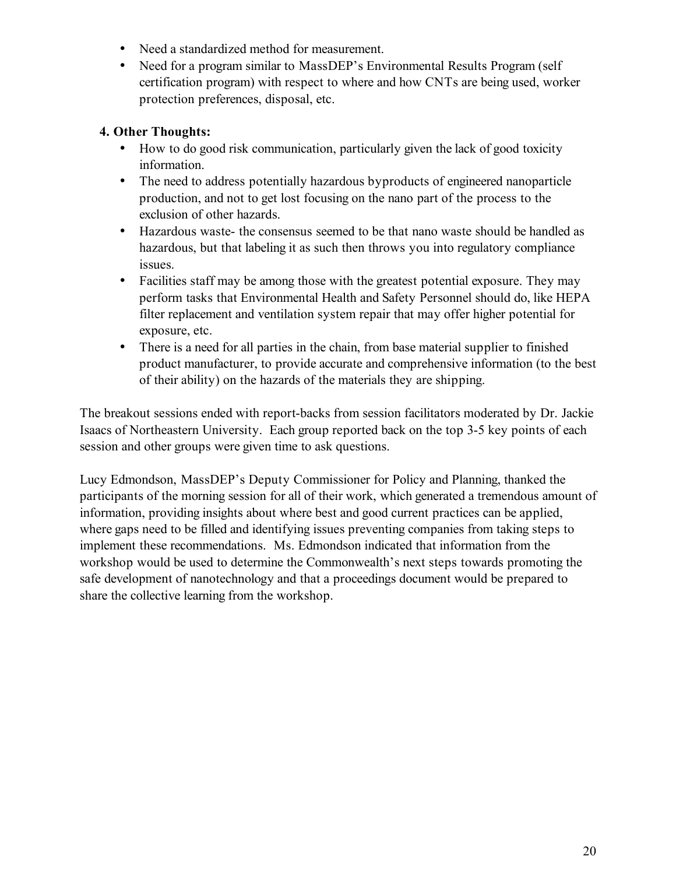- Need a standardized method for measurement.
- Need for a program similar to MassDEP's Environmental Results Program (self certification program) with respect to where and how CNTs are being used, worker protection preferences, disposal, etc.

# **4. Other Thoughts:**

- How to do good risk communication, particularly given the lack of good toxicity information.
- The need to address potentially hazardous byproducts of engineered nanoparticle production, and not to get lost focusing on the nano part of the process to the exclusion of other hazards.
- Hazardous waste- the consensus seemed to be that nano waste should be handled as hazardous, but that labeling it as such then throws you into regulatory compliance issues.
- Facilities staff may be among those with the greatest potential exposure. They may perform tasks that Environmental Health and Safety Personnel should do, like HEPA filter replacement and ventilation system repair that may offer higher potential for exposure, etc.
- There is a need for all parties in the chain, from base material supplier to finished product manufacturer, to provide accurate and comprehensive information (to the best of their ability) on the hazards of the materials they are shipping.

The breakout sessions ended with report-backs from session facilitators moderated by Dr. Jackie Isaacs of Northeastern University. Each group reported back on the top 3-5 key points of each session and other groups were given time to ask questions.

Lucy Edmondson, MassDEP's Deputy Commissioner for Policy and Planning, thanked the participants of the morning session for all of their work, which generated a tremendous amount of information, providing insights about where best and good current practices can be applied, where gaps need to be filled and identifying issues preventing companies from taking steps to implement these recommendations. Ms. Edmondson indicated that information from the workshop would be used to determine the Commonwealth's next steps towards promoting the safe development of nanotechnology and that a proceedings document would be prepared to share the collective learning from the workshop.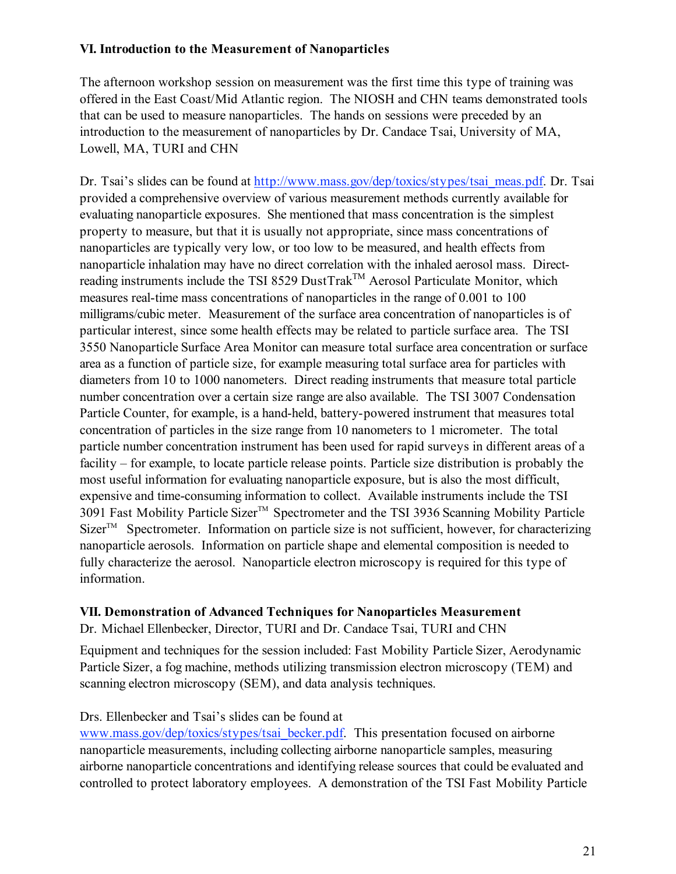# **VI. Introduction to the Measurement of Nanoparticles**

The afternoon workshop session on measurement was the first time this type of training was offered in the East Coast/Mid Atlantic region. The NIOSH and CHN teams demonstrated tools that can be used to measure nanoparticles. The hands on sessions were preceded by an introduction to the measurement of nanoparticles by Dr. Candace Tsai, University of MA, Lowell, MA, TURI and CHN

Dr. Tsai's slides can be found at http://www.mass.gov/dep/toxics/stypes/tsai\_meas.pdf. Dr. Tsai provided a comprehensive overview of various measurement methods currently available for evaluating nanoparticle exposures. She mentioned that mass concentration is the simplest property to measure, but that it is usually not appropriate, since mass concentrations of nanoparticles are typically very low, or too low to be measured, and health effects from nanoparticle inhalation may have no direct correlation with the inhaled aerosol mass. Directreading instruments include the TSI 8529 DustTrak<sup>TM</sup> Aerosol Particulate Monitor, which measures real-time mass concentrations of nanoparticles in the range of 0.001 to 100 milligrams/cubic meter. Measurement of the surface area concentration of nanoparticles is of particular interest, since some health effects may be related to particle surface area. The TSI 3550 Nanoparticle Surface Area Monitor can measure total surface area concentration or surface area as a function of particle size, for example measuring total surface area for particles with diameters from 10 to 1000 nanometers. Direct reading instruments that measure total particle number concentration over a certain size range are also available. The TSI 3007 Condensation Particle Counter, for example, is a hand-held, battery-powered instrument that measures total concentration of particles in the size range from 10 nanometers to 1 micrometer. The total particle number concentration instrument has been used for rapid surveys in different areas of a facility – for example, to locate particle release points. Particle size distribution is probably the most useful information for evaluating nanoparticle exposure, but is also the most difficult, expensive and time-consuming information to collect. Available instruments include the TSI 3091 Fast Mobility Particle Sizer™ Spectrometer and the TSI 3936 Scanning Mobility Particle  $SizeT^M$  Spectrometer. Information on particle size is not sufficient, however, for characterizing nanoparticle aerosols. Information on particle shape and elemental composition is needed to fully characterize the aerosol. Nanoparticle electron microscopy is required for this type of information.

#### **VII. Demonstration of Advanced Techniques for Nanoparticles Measurement**

Dr. Michael Ellenbecker, Director, TURI and Dr. Candace Tsai, TURI and CHN

Equipment and techniques for the session included: Fast Mobility Particle Sizer, Aerodynamic Particle Sizer, a fog machine, methods utilizing transmission electron microscopy (TEM) and scanning electron microscopy (SEM), and data analysis techniques.

#### Drs. Ellenbecker and Tsai's slides can be found at

www.mass.gov/dep/toxics/stypes/tsai\_becker.pdf. This presentation focused on airborne nanoparticle measurements, including collecting airborne nanoparticle samples, measuring airborne nanoparticle concentrations and identifying release sources that could be evaluated and controlled to protect laboratory employees. A demonstration of the TSI Fast Mobility Particle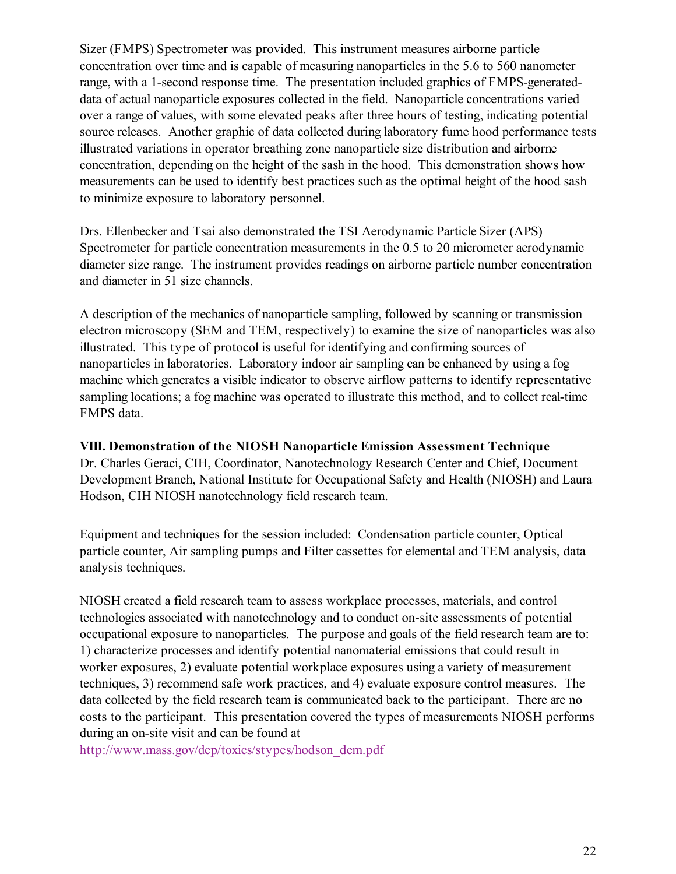Sizer (FMPS) Spectrometer was provided. This instrument measures airborne particle concentration over time and is capable of measuring nanoparticles in the 5.6 to 560 nanometer range, with a 1-second response time. The presentation included graphics of FMPS-generateddata of actual nanoparticle exposures collected in the field. Nanoparticle concentrations varied over a range of values, with some elevated peaks after three hours of testing, indicating potential source releases. Another graphic of data collected during laboratory fume hood performance tests illustrated variations in operator breathing zone nanoparticle size distribution and airborne concentration, depending on the height of the sash in the hood. This demonstration shows how measurements can be used to identify best practices such as the optimal height of the hood sash to minimize exposure to laboratory personnel.

Drs. Ellenbecker and Tsai also demonstrated the TSI Aerodynamic Particle Sizer (APS) Spectrometer for particle concentration measurements in the 0.5 to 20 micrometer aerodynamic diameter size range. The instrument provides readings on airborne particle number concentration and diameter in 51 size channels.

A description of the mechanics of nanoparticle sampling, followed by scanning or transmission electron microscopy (SEM and TEM, respectively) to examine the size of nanoparticles was also illustrated. This type of protocol is useful for identifying and confirming sources of nanoparticles in laboratories. Laboratory indoor air sampling can be enhanced by using a fog machine which generates a visible indicator to observe airflow patterns to identify representative sampling locations; a fog machine was operated to illustrate this method, and to collect real-time FMPS data.

#### **VIII. Demonstration of the NIOSH Nanoparticle Emission Assessment Technique**

Dr. Charles Geraci, CIH, Coordinator, Nanotechnology Research Center and Chief, Document Development Branch, National Institute for Occupational Safety and Health (NIOSH) and Laura Hodson, CIH NIOSH nanotechnology field research team.

Equipment and techniques for the session included: Condensation particle counter, Optical particle counter, Air sampling pumps and Filter cassettes for elemental and TEM analysis, data analysis techniques.

NIOSH created a field research team to assess workplace processes, materials, and control technologies associated with nanotechnology and to conduct on-site assessments of potential occupational exposure to nanoparticles. The purpose and goals of the field research team are to: 1) characterize processes and identify potential nanomaterial emissions that could result in worker exposures, 2) evaluate potential workplace exposures using a variety of measurement techniques, 3) recommend safe work practices, and 4) evaluate exposure control measures. The data collected by the field research team is communicated back to the participant. There are no costs to the participant. This presentation covered the types of measurements NIOSH performs during an on-site visit and can be found at

http://www.mass.gov/dep/toxics/stypes/hodson\_dem.pdf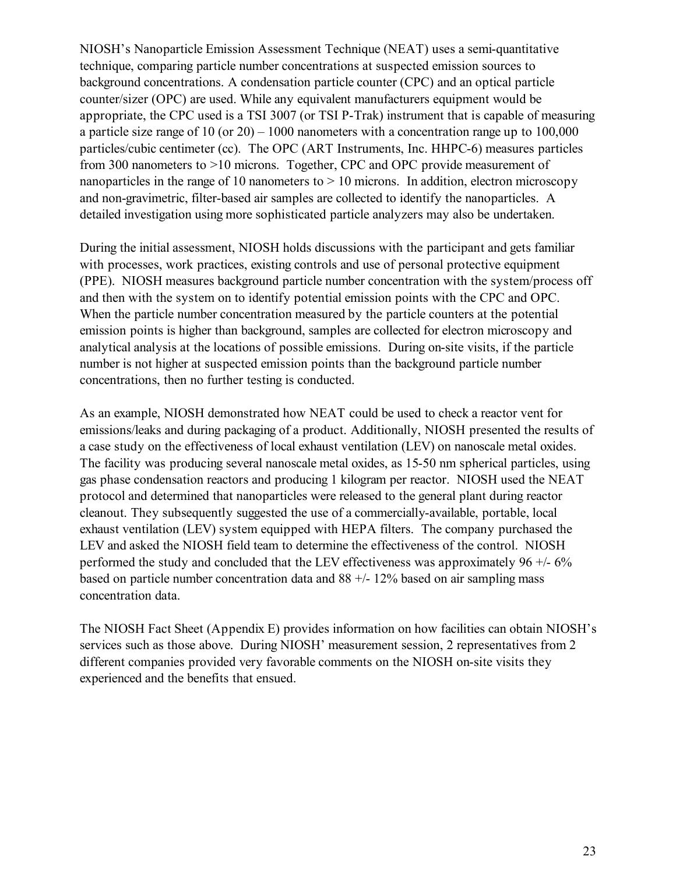NIOSH's Nanoparticle Emission Assessment Technique (NEAT) uses a semi-quantitative technique, comparing particle number concentrations at suspected emission sources to background concentrations. A condensation particle counter (CPC) and an optical particle counter/sizer (OPC) are used. While any equivalent manufacturers equipment would be appropriate, the CPC used is a TSI 3007 (or TSI P-Trak) instrument that is capable of measuring a particle size range of 10 (or 20) – 1000 nanometers with a concentration range up to 100,000 particles/cubic centimeter (cc). The OPC (ART Instruments, Inc. HHPC-6) measures particles from 300 nanometers to >10 microns. Together, CPC and OPC provide measurement of nanoparticles in the range of 10 nanometers to  $> 10$  microns. In addition, electron microscopy and non-gravimetric, filter-based air samples are collected to identify the nanoparticles. A detailed investigation using more sophisticated particle analyzers may also be undertaken.

During the initial assessment, NIOSH holds discussions with the participant and gets familiar with processes, work practices, existing controls and use of personal protective equipment (PPE). NIOSH measures background particle number concentration with the system/process off and then with the system on to identify potential emission points with the CPC and OPC. When the particle number concentration measured by the particle counters at the potential emission points is higher than background, samples are collected for electron microscopy and analytical analysis at the locations of possible emissions. During on-site visits, if the particle number is not higher at suspected emission points than the background particle number concentrations, then no further testing is conducted.

As an example, NIOSH demonstrated how NEAT could be used to check a reactor vent for emissions/leaks and during packaging of a product. Additionally, NIOSH presented the results of a case study on the effectiveness of local exhaust ventilation (LEV) on nanoscale metal oxides. The facility was producing several nanoscale metal oxides, as 15-50 nm spherical particles, using gas phase condensation reactors and producing 1 kilogram per reactor. NIOSH used the NEAT protocol and determined that nanoparticles were released to the general plant during reactor cleanout. They subsequently suggested the use of a commercially-available, portable, local exhaust ventilation (LEV) system equipped with HEPA filters. The company purchased the LEV and asked the NIOSH field team to determine the effectiveness of the control. NIOSH performed the study and concluded that the LEV effectiveness was approximately  $96 +16\%$ based on particle number concentration data and  $88 +1$ - 12% based on air sampling mass concentration data.

The NIOSH Fact Sheet (Appendix E) provides information on how facilities can obtain NIOSH's services such as those above. During NIOSH' measurement session, 2 representatives from 2 different companies provided very favorable comments on the NIOSH on-site visits they experienced and the benefits that ensued.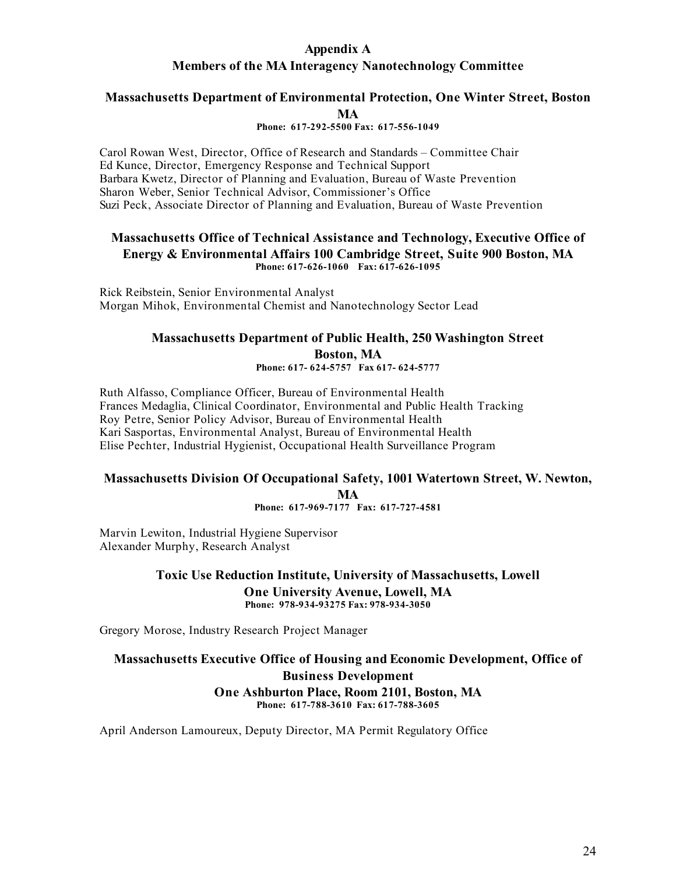# **Appendix A Members of the MA Interagency Nanotechnology Committee**

#### **Massachusetts Department of Environmental Protection, One Winter Street, Boston MA**

#### **Phone: 617-292-5500 Fax: 617-556-1049**

Carol Rowan West, Director, Office of Research and Standards – Committee Chair Ed Kunce, Director, Emergency Response and Technical Support Barbara Kwetz, Director of Planning and Evaluation, Bureau of Waste Prevention Sharon Weber, Senior Technical Advisor, Commissioner's Office Suzi Peck, Associate Director of Planning and Evaluation, Bureau of Waste Prevention

#### **Massachusetts Office of Technical Assistance and Technology, Executive Office of Energy & Environmental Affairs 100 Cambridge Street, Suite 900 Boston, MA Phone: 617-626-1060 Fax: 617-626-1095**

Rick Reibstein, Senior Environmental Analyst Morgan Mihok, Environmental Chemist and Nanotechnology Sector Lead

# **Massachusetts Department of Public Health, 250 Washington Street Boston, MA Phone: 617- 624-5757 Fax 617- 624-5777**

Ruth Alfasso, Compliance Officer, Bureau of Environmental Health Frances Medaglia, Clinical Coordinator, Environmental and Public Health Tracking Roy Petre, Senior Policy Advisor, Bureau of Environmental Health Kari Sasportas, Environmental Analyst, Bureau of Environmental Health Elise Pechter, Industrial Hygienist, Occupational Health Surveillance Program

# **Massachusetts Division Of Occupational Safety, 1001 Watertown Street, W. Newton, MA**

**Phone: 617-969-7177 Fax: 617-727-4581**

Marvin Lewiton, Industrial Hygiene Supervisor Alexander Murphy, Research Analyst

> **Toxic Use Reduction Institute, University of Massachusetts, Lowell One University Avenue, Lowell, MA Phone: 978-934-93275 Fax: 978-934-3050**

Gregory Morose, Industry Research Project Manager

#### **Massachusetts Executive Office of Housing and Economic Development, Office of Business Development One Ashburton Place, Room 2101, Boston, MA Phone: 617-788-3610 Fax: 617-788-3605**

April Anderson Lamoureux, Deputy Director, MA Permit Regulatory Office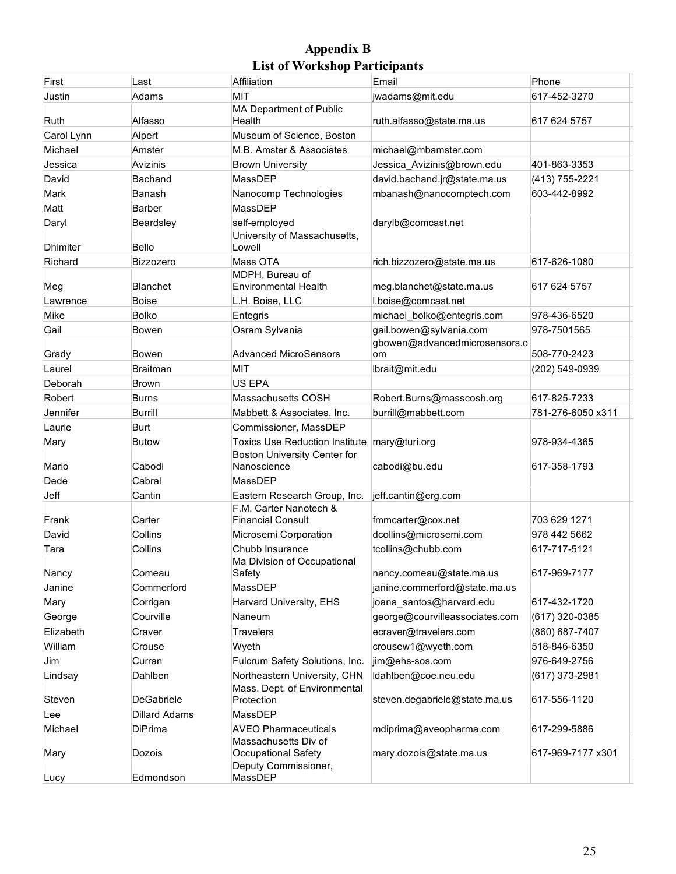# **Appendix B List of Workshop Participants**

| First                    | Last               | Affiliation                                                           | Email                                                    | Phone             |
|--------------------------|--------------------|-----------------------------------------------------------------------|----------------------------------------------------------|-------------------|
| Justin                   | Adams              | <b>MIT</b><br>MA Department of Public                                 | jwadams@mit.edu                                          | 617-452-3270      |
| Ruth                     | Alfasso            | Health                                                                | ruth.alfasso@state.ma.us                                 | 617 624 5757      |
| Carol Lynn               | Alpert             | Museum of Science, Boston                                             |                                                          |                   |
| Michael                  | Amster             | M.B. Amster & Associates                                              | michael@mbamster.com                                     |                   |
| Jessica                  | Avizinis           | <b>Brown University</b>                                               | Jessica_Avizinis@brown.edu                               | 401-863-3353      |
| David                    | Bachand            | MassDEP                                                               | david.bachand.jr@state.ma.us                             | (413) 755-2221    |
| Mark                     | Banash             | Nanocomp Technologies                                                 | mbanash@nanocomptech.com                                 | 603-442-8992      |
| Matt                     | Barber             | MassDEP                                                               |                                                          |                   |
| Daryl<br><b>Dhimiter</b> | Beardsley<br>Bello | self-employed<br>University of Massachusetts,<br>Lowell               | darylb@comcast.net                                       |                   |
| Richard                  | <b>Bizzozero</b>   | Mass OTA<br>MDPH, Bureau of                                           | rich.bizzozero@state.ma.us                               | 617-626-1080      |
| Meg                      | Blanchet           | <b>Environmental Health</b>                                           | meg.blanchet@state.ma.us                                 | 617 624 5757      |
| Lawrence                 | <b>Boise</b>       | L.H. Boise, LLC                                                       | I.boise@comcast.net                                      |                   |
| Mike                     | <b>Bolko</b>       | Entegris                                                              | michael bolko@entegris.com                               | 978-436-6520      |
| Gail                     | Bowen              | Osram Sylvania                                                        | gail.bowen@sylvania.com<br>gbowen@advancedmicrosensors.c | 978-7501565       |
| Grady                    | Bowen              | <b>Advanced MicroSensors</b>                                          | om                                                       | 508-770-2423      |
| Laurel                   | <b>Braitman</b>    | <b>MIT</b>                                                            | Ibrait@mit.edu                                           | (202) 549-0939    |
| Deborah                  | <b>Brown</b>       | <b>US EPA</b>                                                         |                                                          |                   |
| Robert                   | Burns              | Massachusetts COSH                                                    | Robert.Burns@masscosh.org                                | 617-825-7233      |
| Jennifer                 | <b>Burrill</b>     | Mabbett & Associates, Inc.                                            | burrill@mabbett.com                                      | 781-276-6050 x311 |
| Laurie                   | <b>Burt</b>        | Commissioner, MassDEP                                                 |                                                          |                   |
| Mary                     | Butow              | <b>Toxics Use Reduction Institute</b><br>Boston University Center for | mary@turi.org                                            | 978-934-4365      |
| Mario                    | Cabodi             | Nanoscience                                                           | cabodi@bu.edu                                            | 617-358-1793      |
| Dede                     | Cabral             | MassDEP                                                               |                                                          |                   |
| Jeff                     | Cantin             | Eastern Research Group, Inc.<br>F.M. Carter Nanotech &                | jeff.cantin@erg.com                                      |                   |
| Frank                    | Carter             | <b>Financial Consult</b>                                              | fmmcarter@cox.net                                        | 703 629 1271      |
| David                    | Collins            | Microsemi Corporation                                                 | dcollins@microsemi.com                                   | 978 442 5662      |
| Tara                     | Collins            | Chubb Insurance<br>Ma Division of Occupational                        | tcollins@chubb.com                                       | 617-717-5121      |
| Nancy                    | Comeau             | Safety                                                                | nancy.comeau@state.ma.us                                 | 617-969-7177      |
| Janine                   | Commerford         | MassDEP                                                               | janine.commerford@state.ma.us                            |                   |
| Mary                     | Corrigan           | Harvard University, EHS                                               | joana santos@harvard.edu                                 | 617-432-1720      |
| George                   | Courville          | Naneum                                                                | george@courvilleassociates.com                           | (617) 320-0385    |
| Elizabeth                | Craver             | Travelers                                                             | ecraver@travelers.com                                    | (860) 687-7407    |
| William                  | Crouse             | Wyeth                                                                 | crousew1@wyeth.com                                       | 518-846-6350      |
| Jim                      | Curran             | Fulcrum Safety Solutions, Inc.                                        | jim@ehs-sos.com                                          | 976-649-2756      |
| Lindsay                  | Dahlben            | Northeastern University, CHN<br>Mass. Dept. of Environmental          | Idahlben@coe.neu.edu                                     | (617) 373-2981    |
| Steven                   | <b>DeGabriele</b>  | Protection                                                            | steven.degabriele@state.ma.us                            | 617-556-1120      |
| Lee                      | Dillard Adams      | MassDEP                                                               |                                                          |                   |
| Michael                  | DiPrima            | <b>AVEO Pharmaceuticals</b>                                           | mdiprima@aveopharma.com                                  | 617-299-5886      |
| Mary                     | Dozois             | Massachusetts Div of<br>Occupational Safety<br>Deputy Commissioner,   | mary.dozois@state.ma.us                                  | 617-969-7177 x301 |
| Lucy                     | Edmondson          | MassDEP                                                               |                                                          |                   |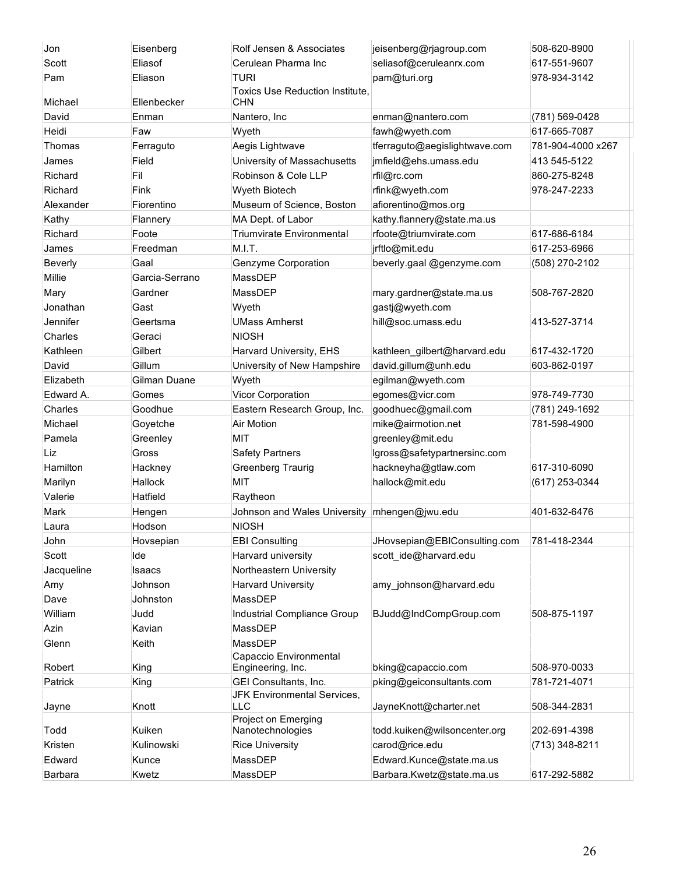| Jon        | Eisenberg        | Rolf Jensen & Associates                    | jeisenberg@rjagroup.com       | 508-620-8900      |
|------------|------------------|---------------------------------------------|-------------------------------|-------------------|
| Scott      | Eliasof          | Cerulean Pharma Inc                         | seliasof@ceruleanrx.com       | 617-551-9607      |
| Pam        | Eliason          | <b>TURI</b>                                 | pam@turi.org                  | 978-934-3142      |
|            |                  | <b>Toxics Use Reduction Institute,</b>      |                               |                   |
| Michael    | Ellenbecker      | CHN                                         |                               |                   |
| David      | Enman            | Nantero, Inc                                | enman@nantero.com             | (781) 569-0428    |
| Heidi      | Faw              | Wyeth                                       | fawh@wyeth.com                | 617-665-7087      |
| Thomas     | Ferraguto        | Aegis Lightwave                             | tferraguto@aegislightwave.com | 781-904-4000 x267 |
| James      | Field            | University of Massachusetts                 | jmfield@ehs.umass.edu         | 413 545-5122      |
| Richard    | Fil              | Robinson & Cole LLP                         | rfil@rc.com                   | 860-275-8248      |
| Richard    | Fink             | <b>Wyeth Biotech</b>                        | rfink@wyeth.com               | 978-247-2233      |
| Alexander  | Fiorentino       | Museum of Science, Boston                   | afiorentino@mos.org           |                   |
| Kathy      | Flannery         | MA Dept. of Labor                           | kathy.flannery@state.ma.us    |                   |
| Richard    | Foote            | <b>Triumvirate Environmental</b>            | rfoote@triumvirate.com        | 617-686-6184      |
| James      | Freedman         | M.I.T.                                      | jrftlo@mit.edu                | 617-253-6966      |
| Beverly    | Gaal             | Genzyme Corporation                         | beverly.gaal @genzyme.com     | (508) 270-2102    |
| Millie     | Garcia-Serrano   | MassDEP                                     |                               |                   |
| Mary       | Gardner          | MassDEP                                     | mary.gardner@state.ma.us      | 508-767-2820      |
| Jonathan   | Gast             | Wyeth                                       | gastj@wyeth.com               |                   |
| Jennifer   | Geertsma         | <b>UMass Amherst</b>                        | hill@soc.umass.edu            | 413-527-3714      |
| Charles    | Geraci           | <b>NIOSH</b>                                |                               |                   |
| Kathleen   | Gilbert          | Harvard University, EHS                     | kathleen_gilbert@harvard.edu  | 617-432-1720      |
| David      | Gillum           | University of New Hampshire                 | david.gillum@unh.edu          | 603-862-0197      |
| Elizabeth  | Gilman Duane     | Wyeth                                       | egilman@wyeth.com             |                   |
| Edward A.  | Gomes            | Vicor Corporation                           | egomes@vicr.com               | 978-749-7730      |
| Charles    | Goodhue          | Eastern Research Group, Inc.                | goodhuec@gmail.com            | (781) 249-1692    |
| Michael    | Goyetche         | <b>Air Motion</b>                           | mike@airmotion.net            | 781-598-4900      |
| Pamela     | Greenley         | <b>MIT</b>                                  | greenley@mit.edu              |                   |
| Liz        | Gross            | <b>Safety Partners</b>                      | lgross@safetypartnersinc.com  |                   |
| Hamilton   | Hackney          | <b>Greenberg Traurig</b>                    | hackneyha@gtlaw.com           | 617-310-6090      |
| Marilyn    | Hallock          | MIT                                         | hallock@mit.edu               | (617) 253-0344    |
| Valerie    | Hatfield         | Raytheon                                    |                               |                   |
| Mark       |                  | Johnson and Wales University                | mhengen@jwu.edu               | 401-632-6476      |
|            | Hengen<br>Hodson | <b>NIOSH</b>                                |                               |                   |
| Laura      |                  |                                             |                               |                   |
| John       | Hovsepian        | <b>EBI Consulting</b>                       | JHovsepian@EBIConsulting.com  | 781-418-2344      |
| Scott      | Ide              | Harvard university                          | scott_ide@harvard.edu         |                   |
| Jacqueline | Isaacs           | Northeastern University                     |                               |                   |
| Amy        | Johnson          | <b>Harvard University</b>                   | amy johnson@harvard.edu       |                   |
| Dave       | Johnston         | MassDEP                                     |                               |                   |
| William    | Judd             | Industrial Compliance Group                 | BJudd@IndCompGroup.com        | 508-875-1197      |
| Azin       | Kavian           | MassDEP                                     |                               |                   |
| Glenn      | Keith            | MassDEP                                     |                               |                   |
| Robert     | King             | Capaccio Environmental<br>Engineering, Inc. | bking@capaccio.com            | 508-970-0033      |
| Patrick    | King             | GEI Consultants, Inc.                       | pking@geiconsultants.com      | 781-721-4071      |
|            |                  | JFK Environmental Services,                 |                               |                   |
| Jayne      | Knott            | <b>LLC</b>                                  | JayneKnott@charter.net        | 508-344-2831      |
|            |                  | Project on Emerging                         |                               |                   |
| Todd       | Kuiken           | Nanotechnologies                            | todd.kuiken@wilsoncenter.org  | 202-691-4398      |
| Kristen    | Kulinowski       | <b>Rice University</b>                      | carod@rice.edu                | (713) 348-8211    |
| Edward     | Kunce            | MassDEP                                     | Edward.Kunce@state.ma.us      |                   |
| Barbara    | Kwetz            | MassDEP                                     | Barbara.Kwetz@state.ma.us     | 617-292-5882      |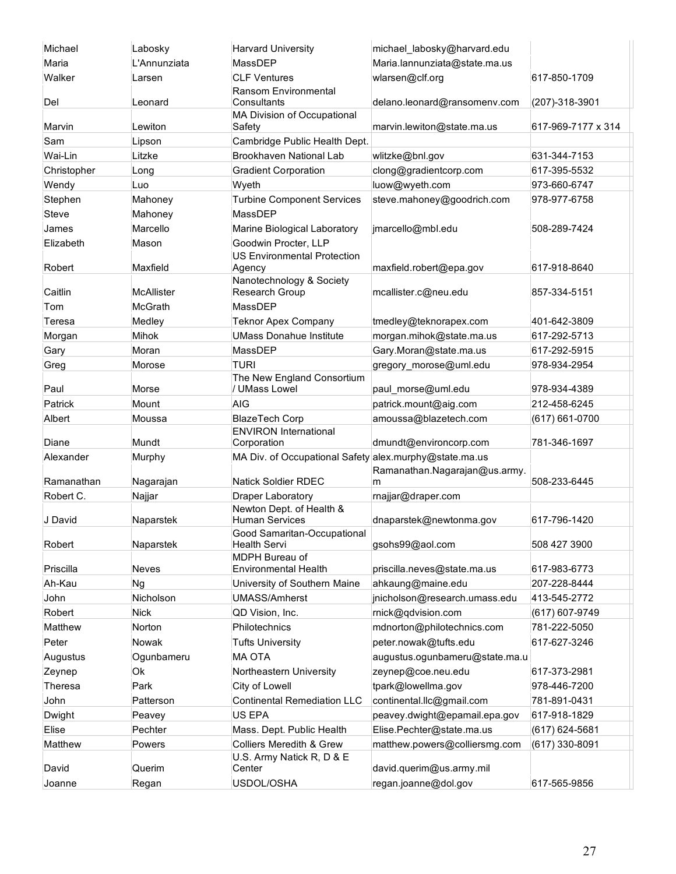| Michael     | Labosky      | <b>Harvard University</b>                                            | michael_labosky@harvard.edu    |                    |
|-------------|--------------|----------------------------------------------------------------------|--------------------------------|--------------------|
| Maria       | L'Annunziata | MassDEP                                                              | Maria.lannunziata@state.ma.us  |                    |
| Walker      | Larsen       | <b>CLF Ventures</b><br>Ransom Environmental                          | wlarsen@clf.org                | 617-850-1709       |
| Del         | Leonard      | Consultants<br>MA Division of Occupational                           | delano.leonard@ransomenv.com   | (207)-318-3901     |
| Marvin      | Lewiton      | Safety                                                               | marvin.lewiton@state.ma.us     | 617-969-7177 x 314 |
| Sam         | Lipson       | Cambridge Public Health Dept.                                        |                                |                    |
| Wai-Lin     | Litzke       | Brookhaven National Lab                                              | wlitzke@bnl.gov                | 631-344-7153       |
| Christopher | Long         | <b>Gradient Corporation</b>                                          | clong@gradientcorp.com         | 617-395-5532       |
| Wendy       | Luo          | Wyeth                                                                | luow@wyeth.com                 | 973-660-6747       |
| Stephen     | Mahoney      | <b>Turbine Component Services</b>                                    | steve.mahoney@goodrich.com     | 978-977-6758       |
| Steve       | Mahoney      | MassDEP                                                              |                                |                    |
| James       | Marcello     | Marine Biological Laboratory                                         | jmarcello@mbl.edu              | 508-289-7424       |
| Elizabeth   | Mason        | Goodwin Procter, LLP<br><b>US Environmental Protection</b>           |                                |                    |
| Robert      | Maxfield     | Agency<br>Nanotechnology & Society                                   | maxfield.robert@epa.gov        | 617-918-8640       |
| Caitlin     | McAllister   | Research Group                                                       | mcallister.c@neu.edu           | 857-334-5151       |
| Tom         | McGrath      | MassDEP                                                              |                                |                    |
| Teresa      | Medley       | <b>Teknor Apex Company</b>                                           | tmedley@teknorapex.com         | 401-642-3809       |
| Morgan      | Mihok        | <b>UMass Donahue Institute</b>                                       | morgan.mihok@state.ma.us       | 617-292-5713       |
| Gary        | Moran        | MassDEP                                                              | Gary.Moran@state.ma.us         | 617-292-5915       |
| Greg        | Morose       | <b>TURI</b><br>The New England Consortium                            | gregory_morose@uml.edu         | 978-934-2954       |
| Paul        | Morse        | / UMass Lowel                                                        | paul_morse@uml.edu             | 978-934-4389       |
| Patrick     | Mount        | <b>AIG</b>                                                           | patrick.mount@aig.com          | 212-458-6245       |
| Albert      | Moussa       | <b>BlazeTech Corp</b>                                                | amoussa@blazetech.com          | (617) 661-0700     |
| Diane       | Mundt        | <b>ENVIRON International</b><br>Corporation                          | dmundt@environcorp.com         | 781-346-1697       |
| Alexander   | Murphy       | MA Div. of Occupational Safety alex.murphy@state.ma.us               | Ramanathan.Nagarajan@us.army.  |                    |
| Ramanathan  | Nagarajan    | <b>Natick Soldier RDEC</b>                                           | m                              | 508-233-6445       |
| Robert C.   | Najjar       | <b>Draper Laboratory</b>                                             | rnajjar@draper.com             |                    |
| J David     | Naparstek    | Newton Dept. of Health &<br><b>Human Services</b>                    | dnaparstek@newtonma.gov        | 617-796-1420       |
| Robert      | Naparstek    | Good Samaritan-Occupational<br><b>Health Servi</b><br>MDPH Bureau of | gsohs99@aol.com                | 508 427 3900       |
| Priscilla   | Neves        | <b>Environmental Health</b>                                          | priscilla.neves@state.ma.us    | 617-983-6773       |
| Ah-Kau      | Ng           | University of Southern Maine                                         | ahkaung@maine.edu              | 207-228-8444       |
| John        | Nicholson    | <b>UMASS/Amherst</b>                                                 | jnicholson@research.umass.edu  | 413-545-2772       |
| Robert      | <b>Nick</b>  | QD Vision, Inc.                                                      | rnick@qdvision.com             | (617) 607-9749     |
| Matthew     | Norton       | Philotechnics                                                        | mdnorton@philotechnics.com     | 781-222-5050       |
| Peter       | Nowak        | <b>Tufts University</b>                                              | peter.nowak@tufts.edu          | 617-627-3246       |
| Augustus    | Ogunbameru   | <b>MA OTA</b>                                                        | augustus.ogunbameru@state.ma.u |                    |
| Zeynep      | Ok           | Northeastern University                                              | zeynep@coe.neu.edu             | 617-373-2981       |
| Theresa     | Park         | City of Lowell                                                       | tpark@lowellma.gov             | 978-446-7200       |
| John        | Patterson    | <b>Continental Remediation LLC</b>                                   | continental.llc@gmail.com      | 781-891-0431       |
| Dwight      | Peavey       | US EPA                                                               | peavey.dwight@epamail.epa.gov  | 617-918-1829       |
| Elise       | Pechter      | Mass. Dept. Public Health                                            | Elise.Pechter@state.ma.us      | $(617)$ 624-5681   |
| Matthew     | Powers       | Colliers Meredith & Grew<br>U.S. Army Natick R, D & E                | matthew.powers@colliersmg.com  | (617) 330-8091     |
| David       | Querim       | Center                                                               | david.querim@us.army.mil       |                    |
| Joanne      | Regan        | USDOL/OSHA                                                           | regan.joanne@dol.gov           | 617-565-9856       |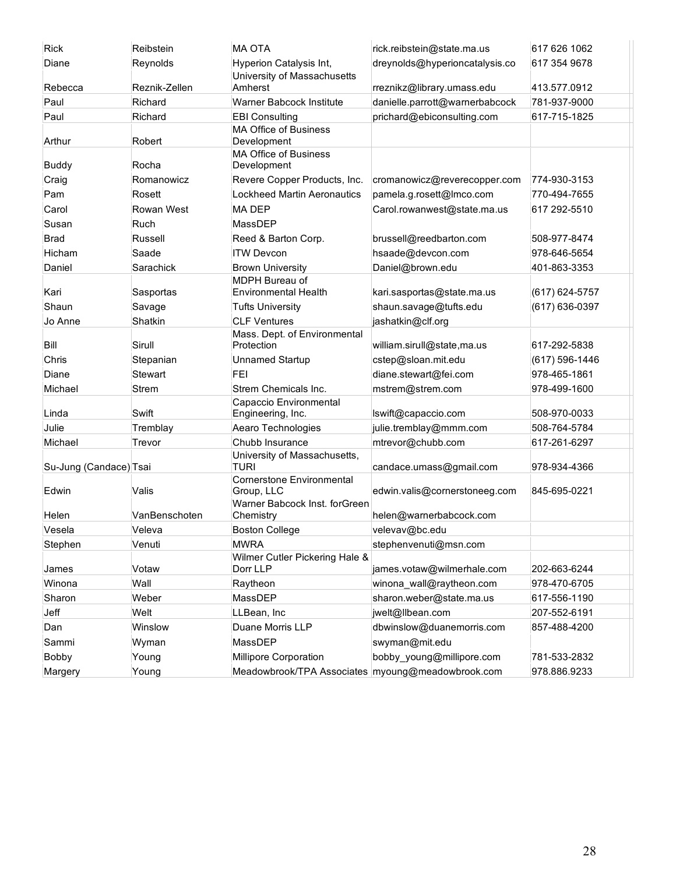| <b>Rick</b>            | Reibstein     | <b>MA OTA</b>                                                               | rick.reibstein@state.ma.us     | 617 626 1062   |
|------------------------|---------------|-----------------------------------------------------------------------------|--------------------------------|----------------|
| Diane                  | Reynolds      | <b>Hyperion Catalysis Int,</b><br>University of Massachusetts               | dreynolds@hyperioncatalysis.co | 617 354 9678   |
| Rebecca                | Reznik-Zellen | Amherst                                                                     | rreznikz@library.umass.edu     | 413.577.0912   |
| Paul                   | Richard       | Warner Babcock Institute                                                    | danielle.parrott@warnerbabcock | 781-937-9000   |
| Paul                   | Richard       | <b>EBI Consulting</b>                                                       | prichard@ebiconsulting.com     | 617-715-1825   |
| Arthur                 | Robert        | <b>MA Office of Business</b><br>Development<br><b>MA Office of Business</b> |                                |                |
| <b>Buddy</b>           | Rocha         | Development                                                                 |                                |                |
| Craig                  | Romanowicz    | Revere Copper Products, Inc.                                                | cromanowicz@reverecopper.com   | 774-930-3153   |
| Pam                    | Rosett        | <b>Lockheed Martin Aeronautics</b>                                          | pamela.g.rosett@Imco.com       | 770-494-7655   |
| Carol                  | Rowan West    | <b>MADEP</b>                                                                | Carol.rowanwest@state.ma.us    | 617 292-5510   |
| Susan                  | Ruch          | MassDEP                                                                     |                                |                |
| <b>Brad</b>            | Russell       | Reed & Barton Corp.                                                         | brussell@reedbarton.com        | 508-977-8474   |
| Hicham                 | Saade         | <b>ITW Devcon</b>                                                           | hsaade@devcon.com              | 978-646-5654   |
| Daniel                 | Sarachick     | <b>Brown University</b><br><b>MDPH Bureau of</b>                            | Daniel@brown.edu               | 401-863-3353   |
| Kari                   | Sasportas     | <b>Environmental Health</b>                                                 | kari.sasportas@state.ma.us     | (617) 624-5757 |
| Shaun                  | Savage        | <b>Tufts University</b>                                                     | shaun.savage@tufts.edu         | (617) 636-0397 |
| Jo Anne                | Shatkin       | <b>CLF Ventures</b>                                                         | jashatkin@clf.org              |                |
| Bill                   | Sirull        | Mass. Dept. of Environmental<br>Protection                                  | william.sirull@state,ma.us     | 617-292-5838   |
| Chris                  | Stepanian     | <b>Unnamed Startup</b>                                                      | cstep@sloan.mit.edu            | (617) 596-1446 |
| Diane                  | Stewart       | FEI                                                                         | diane.stewart@fei.com          | 978-465-1861   |
| Michael                | Strem         | Strem Chemicals Inc.<br>Capaccio Environmental                              | mstrem@strem.com               | 978-499-1600   |
| Linda                  | Swift         | Engineering, Inc.                                                           | lswift@capaccio.com            | 508-970-0033   |
| Julie                  | Tremblay      | Aearo Technologies                                                          | julie.tremblay@mmm.com         | 508-764-5784   |
| Michael                | Trevor        | Chubb Insurance                                                             | mtrevor@chubb.com              | 617-261-6297   |
| Su-Jung (Candace) Tsai |               | University of Massachusetts,<br><b>TURI</b>                                 | candace.umass@gmail.com        | 978-934-4366   |
| Edwin                  | Valis         | <b>Cornerstone Environmental</b><br>Group, LLC                              | edwin.valis@cornerstoneeg.com  | 845-695-0221   |
| Helen                  | VanBenschoten | Warner Babcock Inst. forGreen<br>Chemistry                                  | helen@warnerbabcock.com        |                |
| Vesela                 | Veleva        | <b>Boston College</b>                                                       | velevav@bc.edu                 |                |
| Stephen                | Venuti        | <b>MWRA</b><br>Wilmer Cutler Pickering Hale &                               | stephenvenuti@msn.com          |                |
| James                  | Votaw         | Dorr LLP                                                                    | james.votaw@wilmerhale.com     | 202-663-6244   |
| Winona                 | Wall          | Raytheon                                                                    | winona wall@raytheon.com       | 978-470-6705   |
| Sharon                 | Weber         | MassDEP                                                                     | sharon.weber@state.ma.us       | 617-556-1190   |
| Jeff                   | Welt          | LLBean, Inc                                                                 | jwelt@llbean.com               | 207-552-6191   |
| Dan                    | Winslow       | Duane Morris LLP                                                            | dbwinslow@duanemorris.com      | 857-488-4200   |
| Sammi                  | Wyman         | MassDEP                                                                     | swyman@mit.edu                 |                |
| <b>Bobby</b>           | Young         | Millipore Corporation                                                       | bobby_young@millipore.com      | 781-533-2832   |
| Margery                | Young         | Meadowbrook/TPA Associates myoung@meadowbrook.com                           |                                | 978.886.9233   |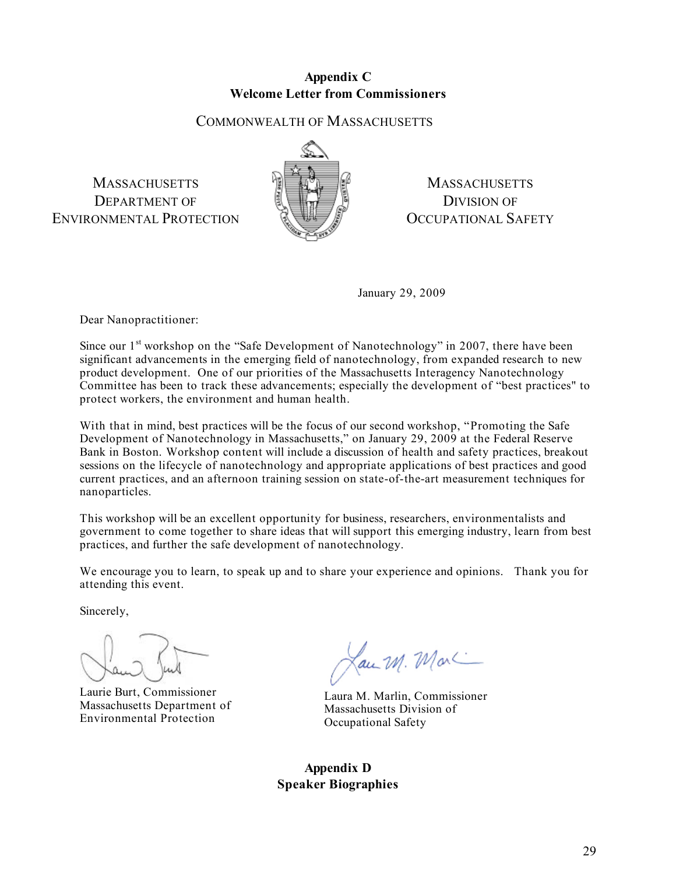#### **Appendix C Welcome Letter from Commissioners**

# COMMONWEALTH OF MASSACHUSETTS

**MASSACHUSETTS** DEPARTMENT OF ENVIRONMENTAL PROTECTION



**MASSACHUSETTS** DIVISION OF OCCUPATIONAL SAFETY

January 29, 2009

Dear Nanopractitioner:

Since our  $1<sup>st</sup>$  workshop on the "Safe Development of Nanotechnology" in 2007, there have been significant advancements in the emerging field of nanotechnology, from expanded research to new product development. One of our priorities of the Massachusetts Interagency Nanotechnology Committee has been to track these advancements; especially the development of "best practices" to protect workers, the environment and human health.

With that in mind, best practices will be the focus of our second workshop, "Promoting the Safe Development of Nanotechnology in Massachusetts," on January 29, 2009 at the Federal Reserve Bank in Boston. Workshop content will include a discussion of health and safety practices, breakout sessions on the lifecycle of nanotechnology and appropriate applications of best practices and good current practices, and an afternoon training session on state-of-the-art measurement techniques for nanoparticles.

This workshop will be an excellent opportunity for business, researchers, environmentalists and government to come together to share ideas that will support this emerging industry, learn from best practices, and further the safe development of nanotechnology.

We encourage you to learn, to speak up and to share your experience and opinions. Thank you for attending this event.

Sincerely,

Laurie Burt, Commissioner Massachusetts Department of Environmental Protection

Lau M. Mar

Laura M. Marlin, Commissioner Massachusetts Division of Occupational Safety

**Appendix D Speaker Biographies**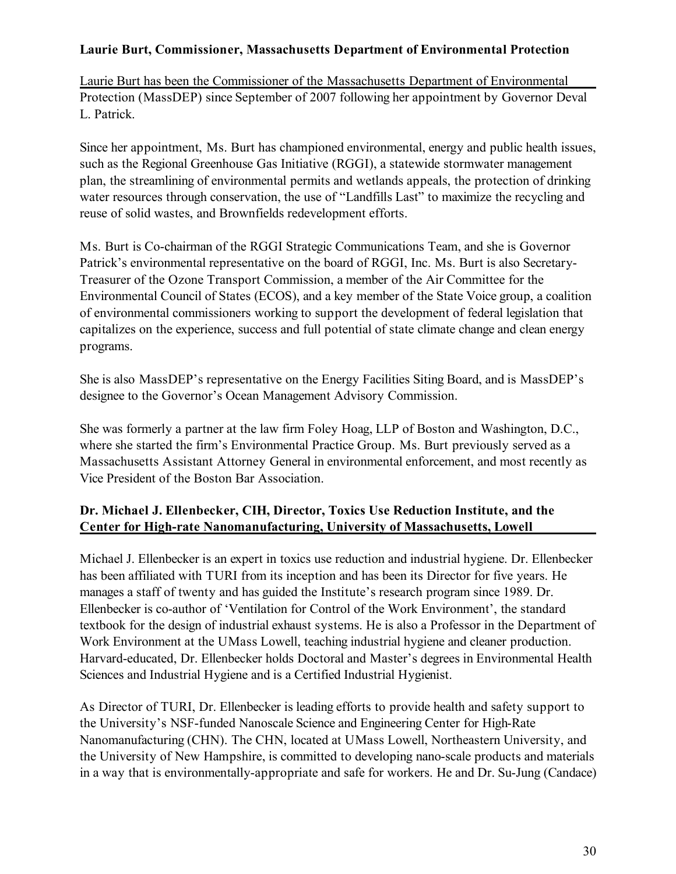# **Laurie Burt, Commissioner, Massachusetts Department of Environmental Protection**

Laurie Burt has been the Commissioner of the Massachusetts Department of Environmental Protection (MassDEP) since September of 2007 following her appointment by Governor Deval L. Patrick.

Since her appointment, Ms. Burt has championed environmental, energy and public health issues, such as the Regional Greenhouse Gas Initiative (RGGI), a statewide stormwater management plan, the streamlining of environmental permits and wetlands appeals, the protection of drinking water resources through conservation, the use of "Landfills Last" to maximize the recycling and reuse of solid wastes, and Brownfields redevelopment efforts.

Ms. Burt is Co-chairman of the RGGI Strategic Communications Team, and she is Governor Patrick's environmental representative on the board of RGGI, Inc. Ms. Burt is also Secretary-Treasurer of the Ozone Transport Commission, a member of the Air Committee for the Environmental Council of States (ECOS), and a key member of the State Voice group, a coalition of environmental commissioners working to support the development of federal legislation that capitalizes on the experience, success and full potential of state climate change and clean energy programs.

She is also MassDEP's representative on the Energy Facilities Siting Board, and is MassDEP's designee to the Governor's Ocean Management Advisory Commission.

She was formerly a partner at the law firm Foley Hoag, LLP of Boston and Washington, D.C., where she started the firm's Environmental Practice Group. Ms. Burt previously served as a Massachusetts Assistant Attorney General in environmental enforcement, and most recently as Vice President of the Boston Bar Association.

# **Dr. Michael J. Ellenbecker, CIH, Director, Toxics Use Reduction Institute, and the Center for High-rate Nanomanufacturing, University of Massachusetts, Lowell**

Michael J. Ellenbecker is an expert in toxics use reduction and industrial hygiene. Dr. Ellenbecker has been affiliated with TURI from its inception and has been its Director for five years. He manages a staff of twenty and has guided the Institute's research program since 1989. Dr. Ellenbecker is co-author of 'Ventilation for Control of the Work Environment', the standard textbook for the design of industrial exhaust systems. He is also a Professor in the Department of Work Environment at the UMass Lowell, teaching industrial hygiene and cleaner production. Harvard-educated, Dr. Ellenbecker holds Doctoral and Master's degrees in Environmental Health Sciences and Industrial Hygiene and is a Certified Industrial Hygienist.

As Director of TURI, Dr. Ellenbecker is leading efforts to provide health and safety support to the University's NSF-funded Nanoscale Science and Engineering Center for High-Rate Nanomanufacturing (CHN). The CHN, located at UMass Lowell, Northeastern University, and the University of New Hampshire, is committed to developing nano-scale products and materials in a way that is environmentally-appropriate and safe for workers. He and Dr. Su-Jung (Candace)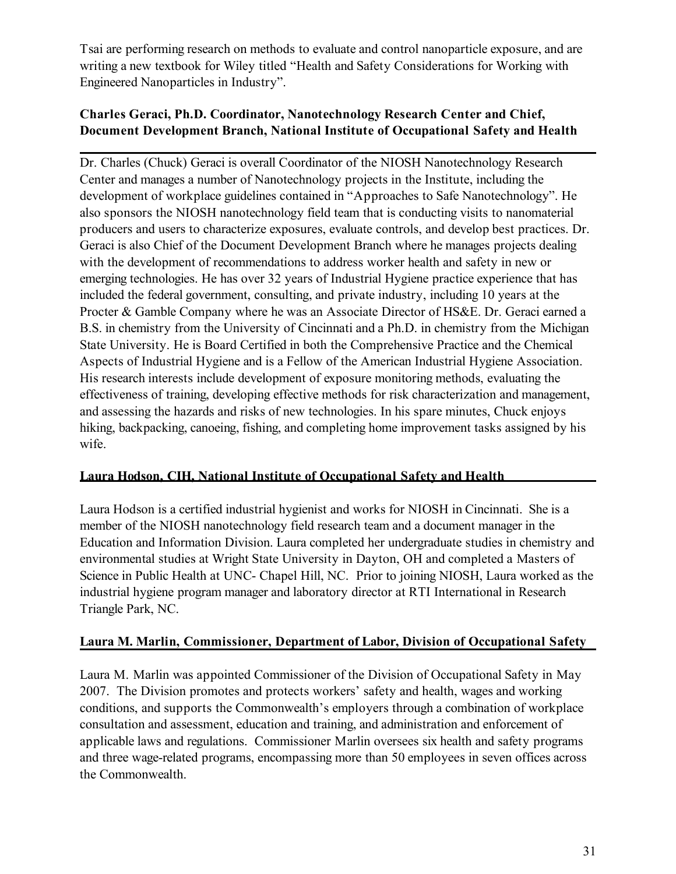Tsai are performing research on methods to evaluate and control nanoparticle exposure, and are writing a new textbook for Wiley titled "Health and Safety Considerations for Working with Engineered Nanoparticles in Industry".

# **Charles Geraci, Ph.D. Coordinator, Nanotechnology Research Center and Chief, Document Development Branch, National Institute of Occupational Safety and Health**

Dr. Charles (Chuck) Geraci is overall Coordinator of the NIOSH Nanotechnology Research Center and manages a number of Nanotechnology projects in the Institute, including the development of workplace guidelines contained in "Approaches to Safe Nanotechnology". He also sponsors the NIOSH nanotechnology field team that is conducting visits to nanomaterial producers and users to characterize exposures, evaluate controls, and develop best practices. Dr. Geraci is also Chief of the Document Development Branch where he manages projects dealing with the development of recommendations to address worker health and safety in new or emerging technologies. He has over 32 years of Industrial Hygiene practice experience that has included the federal government, consulting, and private industry, including 10 years at the Procter & Gamble Company where he was an Associate Director of HS&E. Dr. Geraci earned a B.S. in chemistry from the University of Cincinnati and a Ph.D. in chemistry from the Michigan State University. He is Board Certified in both the Comprehensive Practice and the Chemical Aspects of Industrial Hygiene and is a Fellow of the American Industrial Hygiene Association. His research interests include development of exposure monitoring methods, evaluating the effectiveness of training, developing effective methods for risk characterization and management, and assessing the hazards and risks of new technologies. In his spare minutes, Chuck enjoys hiking, backpacking, canoeing, fishing, and completing home improvement tasks assigned by his wife.

# **Laura Hodson, CIH, National Institute of Occupational Safety and Health**

Laura Hodson is a certified industrial hygienist and works for NIOSH in Cincinnati. She is a member of the NIOSH nanotechnology field research team and a document manager in the Education and Information Division. Laura completed her undergraduate studies in chemistry and environmental studies at Wright State University in Dayton, OH and completed a Masters of Science in Public Health at UNC- Chapel Hill, NC. Prior to joining NIOSH, Laura worked as the industrial hygiene program manager and laboratory director at RTI International in Research Triangle Park, NC.

# **Laura M. Marlin, Commissioner, Department of Labor, Division of Occupational Safety**

Laura M. Marlin was appointed Commissioner of the Division of Occupational Safety in May 2007. The Division promotes and protects workers' safety and health, wages and working conditions, and supports the Commonwealth's employers through a combination of workplace consultation and assessment, education and training, and administration and enforcement of applicable laws and regulations. Commissioner Marlin oversees six health and safety programs and three wage-related programs, encompassing more than 50 employees in seven offices across the Commonwealth.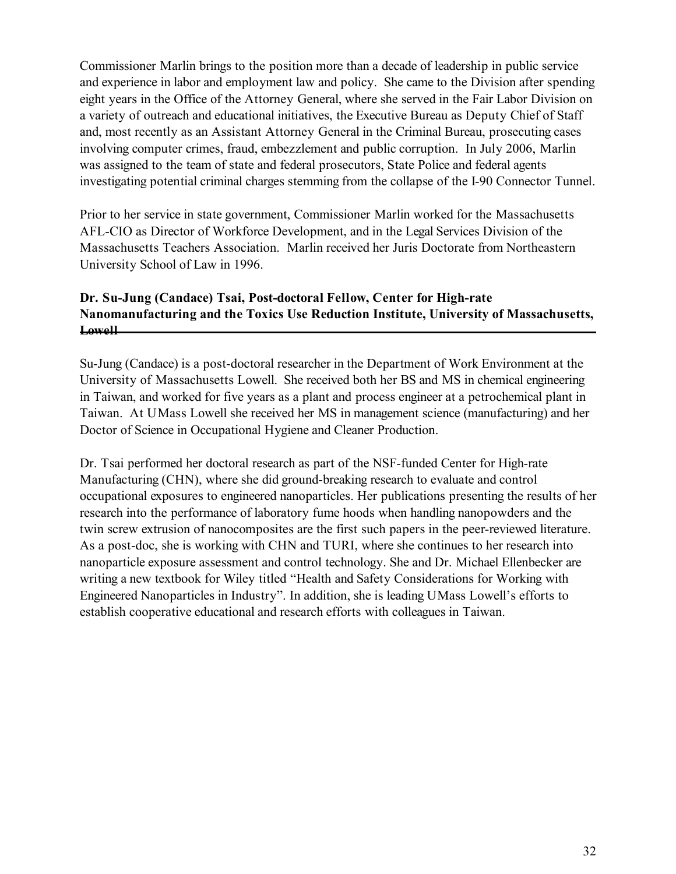Commissioner Marlin brings to the position more than a decade of leadership in public service and experience in labor and employment law and policy. She came to the Division after spending eight years in the Office of the Attorney General, where she served in the Fair Labor Division on a variety of outreach and educational initiatives, the Executive Bureau as Deputy Chief of Staff and, most recently as an Assistant Attorney General in the Criminal Bureau, prosecuting cases involving computer crimes, fraud, embezzlement and public corruption. In July 2006, Marlin was assigned to the team of state and federal prosecutors, State Police and federal agents investigating potential criminal charges stemming from the collapse of the I-90 Connector Tunnel.

Prior to her service in state government, Commissioner Marlin worked for the Massachusetts AFL-CIO as Director of Workforce Development, and in the Legal Services Division of the Massachusetts Teachers Association. Marlin received her Juris Doctorate from Northeastern University School of Law in 1996.

# **Dr. Su-Jung (Candace) Tsai, Post-doctoral Fellow, Center for High-rate Nanomanufacturing and the Toxics Use Reduction Institute, University of Massachusetts, Lowell**

Su-Jung (Candace) is a post-doctoral researcher in the Department of Work Environment at the University of Massachusetts Lowell. She received both her BS and MS in chemical engineering in Taiwan, and worked for five years as a plant and process engineer at a petrochemical plant in Taiwan. At UMass Lowell she received her MS in management science (manufacturing) and her Doctor of Science in Occupational Hygiene and Cleaner Production.

Dr. Tsai performed her doctoral research as part of the NSF-funded Center for High-rate Manufacturing (CHN), where she did ground-breaking research to evaluate and control occupational exposures to engineered nanoparticles. Her publications presenting the results of her research into the performance of laboratory fume hoods when handling nanopowders and the twin screw extrusion of nanocomposites are the first such papers in the peer-reviewed literature. As a post-doc, she is working with CHN and TURI, where she continues to her research into nanoparticle exposure assessment and control technology. She and Dr. Michael Ellenbecker are writing a new textbook for Wiley titled "Health and Safety Considerations for Working with Engineered Nanoparticles in Industry". In addition, she is leading UMass Lowell's efforts to establish cooperative educational and research efforts with colleagues in Taiwan.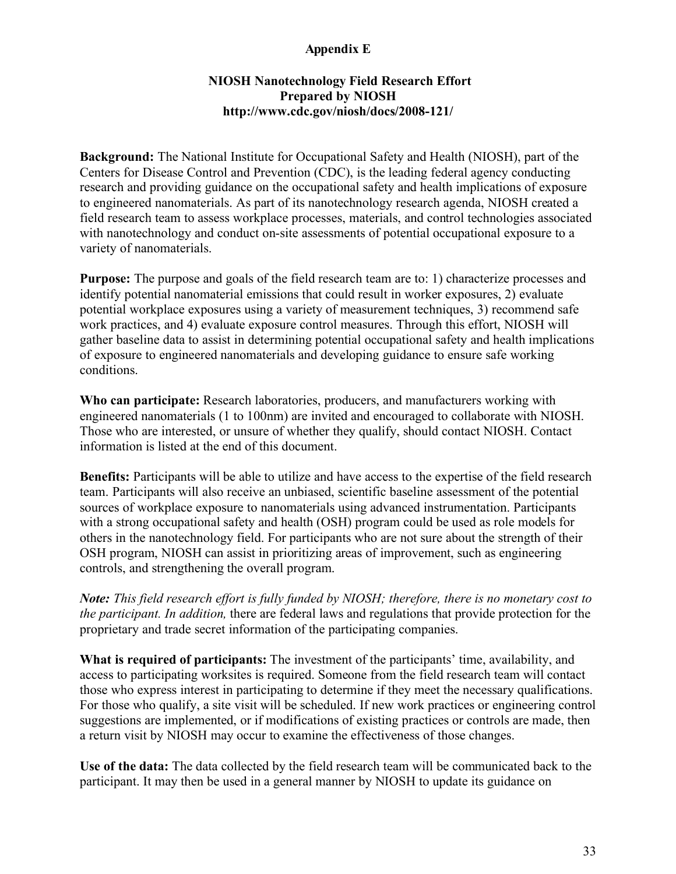# **Appendix E**

#### **NIOSH Nanotechnology Field Research Effort Prepared by NIOSH http://www.cdc.gov/niosh/docs/2008-121/**

**Background:** The National Institute for Occupational Safety and Health (NIOSH), part of the Centers for Disease Control and Prevention (CDC), is the leading federal agency conducting research and providing guidance on the occupational safety and health implications of exposure to engineered nanomaterials. As part of its nanotechnology research agenda, NIOSH created a field research team to assess workplace processes, materials, and control technologies associated with nanotechnology and conduct on-site assessments of potential occupational exposure to a variety of nanomaterials.

**Purpose:** The purpose and goals of the field research team are to: 1) characterize processes and identify potential nanomaterial emissions that could result in worker exposures, 2) evaluate potential workplace exposures using a variety of measurement techniques, 3) recommend safe work practices, and 4) evaluate exposure control measures. Through this effort, NIOSH will gather baseline data to assist in determining potential occupational safety and health implications of exposure to engineered nanomaterials and developing guidance to ensure safe working conditions.

**Who can participate:** Research laboratories, producers, and manufacturers working with engineered nanomaterials (1 to 100nm) are invited and encouraged to collaborate with NIOSH. Those who are interested, or unsure of whether they qualify, should contact NIOSH. Contact information is listed at the end of this document.

**Benefits:** Participants will be able to utilize and have access to the expertise of the field research team. Participants will also receive an unbiased, scientific baseline assessment of the potential sources of workplace exposure to nanomaterials using advanced instrumentation. Participants with a strong occupational safety and health (OSH) program could be used as role models for others in the nanotechnology field. For participants who are not sure about the strength of their OSH program, NIOSH can assist in prioritizing areas of improvement, such as engineering controls, and strengthening the overall program.

*Note: This field research effort is fully funded by NIOSH; therefore, there is no monetary cost to the participant. In addition,* there are federal laws and regulations that provide protection for the proprietary and trade secret information of the participating companies.

**What is required of participants:** The investment of the participants' time, availability, and access to participating worksites is required. Someone from the field research team will contact those who express interest in participating to determine if they meet the necessary qualifications. For those who qualify, a site visit will be scheduled. If new work practices or engineering control suggestions are implemented, or if modifications of existing practices or controls are made, then a return visit by NIOSH may occur to examine the effectiveness of those changes.

**Use of the data:** The data collected by the field research team will be communicated back to the participant. It may then be used in a general manner by NIOSH to update its guidance on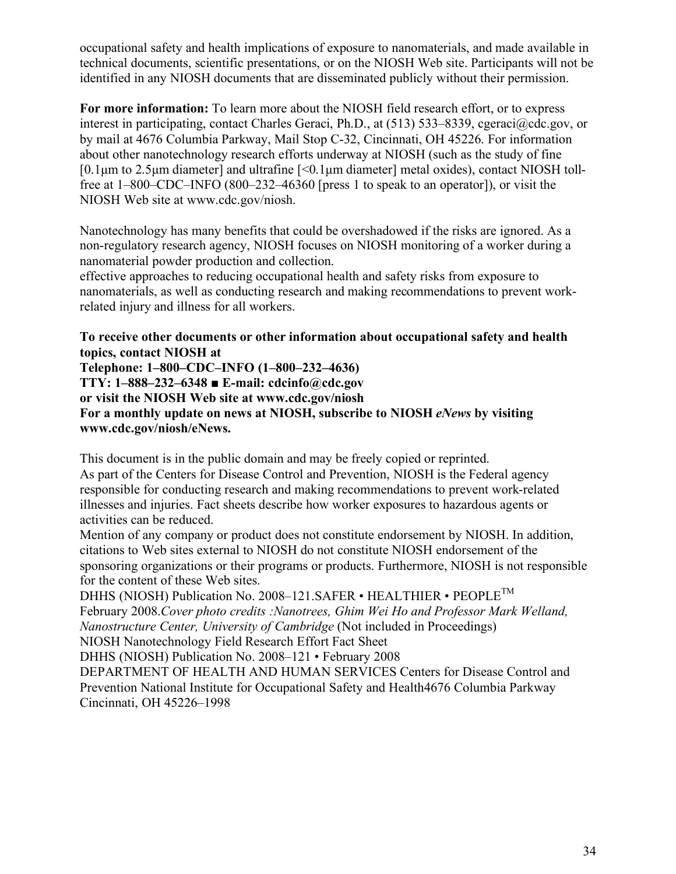occupational safety and health implications of exposure to nanomaterials, and made available in technical documents, scientific presentations, or on the NIOSH Web site. Participants will not be identified in any NIOSH documents that are disseminated publicly without their permission.

**For more information:** To learn more about the NIOSH field research effort, or to express interest in participating, contact Charles Geraci, Ph.D., at (513) 533–8339, cgeraci@cdc.gov, or by mail at 4676 Columbia Parkway, Mail Stop C-32, Cincinnati, OH 45226. For information about other nanotechnology research efforts underway at NIOSH (such as the study of fine  $[0.1\,\mu m$  to 2.5 $\mu m$  diameter] and ultrafine  $\leq 0.1\,\mu m$  diameter] metal oxides), contact NIOSH tollfree at 1–800–CDC–INFO (800–232–46360 [press 1 to speak to an operator]), or visit the NIOSH Web site at www.cdc.gov/niosh.

Nanotechnology has many benefits that could be overshadowed if the risks are ignored. As a non-regulatory research agency, NIOSH focuses on NIOSH monitoring of a worker during a nanomaterial powder production and collection.

effective approaches to reducing occupational health and safety risks from exposure to nanomaterials, as well as conducting research and making recommendations to prevent workrelated injury and illness for all workers.

#### **To receive other documents or other information about occupational safety and health topics, contact NIOSH at**

**Telephone: 1–800–CDC–INFO (1–800–232–4636) TTY: 1–888–232–6348 ■ E-mail: cdcinfo@cdc.gov or visit the NIOSH Web site at www.cdc.gov/niosh For a monthly update on news at NIOSH, subscribe to NIOSH** *eNews* **by visiting www.cdc.gov/niosh/eNews.**

This document is in the public domain and may be freely copied or reprinted. As part of the Centers for Disease Control and Prevention, NIOSH is the Federal agency responsible for conducting research and making recommendations to prevent work-related illnesses and injuries. Fact sheets describe how worker exposures to hazardous agents or activities can be reduced.

Mention of any company or product does not constitute endorsement by NIOSH. In addition, citations to Web sites external to NIOSH do not constitute NIOSH endorsement of the sponsoring organizations or their programs or products. Furthermore, NIOSH is not responsible for the content of these Web sites.

DHHS (NIOSH) Publication No. 2008-121. SAFER • HEALTHIER • PEOPLE<sup>TM</sup> February 2008.*Cover photo credits :Nanotrees, Ghim Wei Ho and Professor Mark Welland, Nanostructure Center, University of Cambridge* (Not included in Proceedings) NIOSH Nanotechnology Field Research Effort Fact Sheet

DHHS (NIOSH) Publication No. 2008–121 • February 2008

DEPARTMENT OF HEALTH AND HUMAN SERVICES Centers for Disease Control and Prevention National Institute for Occupational Safety and Health4676 Columbia Parkway Cincinnati, OH 45226–1998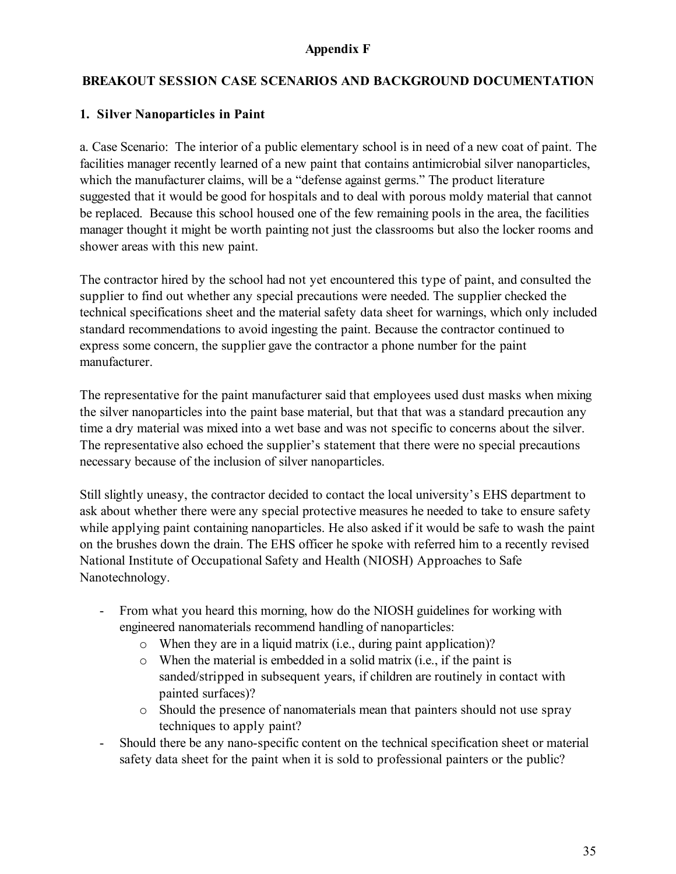## **Appendix F**

## **BREAKOUT SESSION CASE SCENARIOS AND BACKGROUND DOCUMENTATION**

## **1. Silver Nanoparticles in Paint**

a. Case Scenario: The interior of a public elementary school is in need of a new coat of paint. The facilities manager recently learned of a new paint that contains antimicrobial silver nanoparticles, which the manufacturer claims, will be a "defense against germs." The product literature suggested that it would be good for hospitals and to deal with porous moldy material that cannot be replaced. Because this school housed one of the few remaining pools in the area, the facilities manager thought it might be worth painting not just the classrooms but also the locker rooms and shower areas with this new paint.

The contractor hired by the school had not yet encountered this type of paint, and consulted the supplier to find out whether any special precautions were needed. The supplier checked the technical specifications sheet and the material safety data sheet for warnings, which only included standard recommendations to avoid ingesting the paint. Because the contractor continued to express some concern, the supplier gave the contractor a phone number for the paint manufacturer.

The representative for the paint manufacturer said that employees used dust masks when mixing the silver nanoparticles into the paint base material, but that that was a standard precaution any time a dry material was mixed into a wet base and was not specific to concerns about the silver. The representative also echoed the supplier's statement that there were no special precautions necessary because of the inclusion of silver nanoparticles.

Still slightly uneasy, the contractor decided to contact the local university's EHS department to ask about whether there were any special protective measures he needed to take to ensure safety while applying paint containing nanoparticles. He also asked if it would be safe to wash the paint on the brushes down the drain. The EHS officer he spoke with referred him to a recently revised National Institute of Occupational Safety and Health (NIOSH) Approaches to Safe Nanotechnology.

- From what you heard this morning, how do the NIOSH guidelines for working with engineered nanomaterials recommend handling of nanoparticles:
	- $\circ$  When they are in a liquid matrix (i.e., during paint application)?
	- o When the material is embedded in a solid matrix (i.e., if the paint is sanded/stripped in subsequent years, if children are routinely in contact with painted surfaces)?
	- o Should the presence of nanomaterials mean that painters should not use spray techniques to apply paint?
- Should there be any nano-specific content on the technical specification sheet or material safety data sheet for the paint when it is sold to professional painters or the public?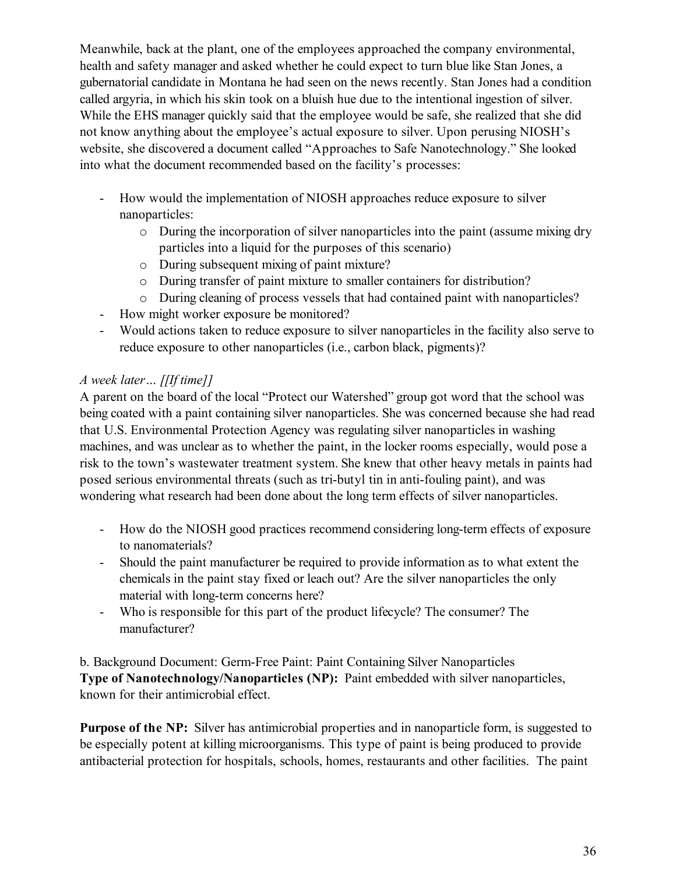Meanwhile, back at the plant, one of the employees approached the company environmental, health and safety manager and asked whether he could expect to turn blue like Stan Jones, a gubernatorial candidate in Montana he had seen on the news recently. Stan Jones had a condition called argyria, in which his skin took on a bluish hue due to the intentional ingestion of silver. While the EHS manager quickly said that the employee would be safe, she realized that she did not know anything about the employee's actual exposure to silver. Upon perusing NIOSH's website, she discovered a document called "Approaches to Safe Nanotechnology." She looked into what the document recommended based on the facility's processes:

- How would the implementation of NIOSH approaches reduce exposure to silver nanoparticles:
	- o During the incorporation of silver nanoparticles into the paint (assume mixing dry particles into a liquid for the purposes of this scenario)
	- o During subsequent mixing of paint mixture?
	- o During transfer of paint mixture to smaller containers for distribution?
	- o During cleaning of process vessels that had contained paint with nanoparticles?
- How might worker exposure be monitored?
- Would actions taken to reduce exposure to silver nanoparticles in the facility also serve to reduce exposure to other nanoparticles (i.e., carbon black, pigments)?

# *A week later… [[If time]]*

A parent on the board of the local "Protect our Watershed" group got word that the school was being coated with a paint containing silver nanoparticles. She was concerned because she had read that U.S. Environmental Protection Agency was regulating silver nanoparticles in washing machines, and was unclear as to whether the paint, in the locker rooms especially, would pose a risk to the town's wastewater treatment system. She knew that other heavy metals in paints had posed serious environmental threats (such as tri-butyl tin in anti-fouling paint), and was wondering what research had been done about the long term effects of silver nanoparticles.

- How do the NIOSH good practices recommend considering long-term effects of exposure to nanomaterials?
- Should the paint manufacturer be required to provide information as to what extent the chemicals in the paint stay fixed or leach out? Are the silver nanoparticles the only material with long-term concerns here?
- Who is responsible for this part of the product lifecycle? The consumer? The manufacturer?

b. Background Document: Germ-Free Paint: Paint Containing Silver Nanoparticles **Type of Nanotechnology/Nanoparticles (NP):** Paint embedded with silver nanoparticles, known for their antimicrobial effect.

**Purpose of the NP:** Silver has antimicrobial properties and in nanoparticle form, is suggested to be especially potent at killing microorganisms. This type of paint is being produced to provide antibacterial protection for hospitals, schools, homes, restaurants and other facilities. The paint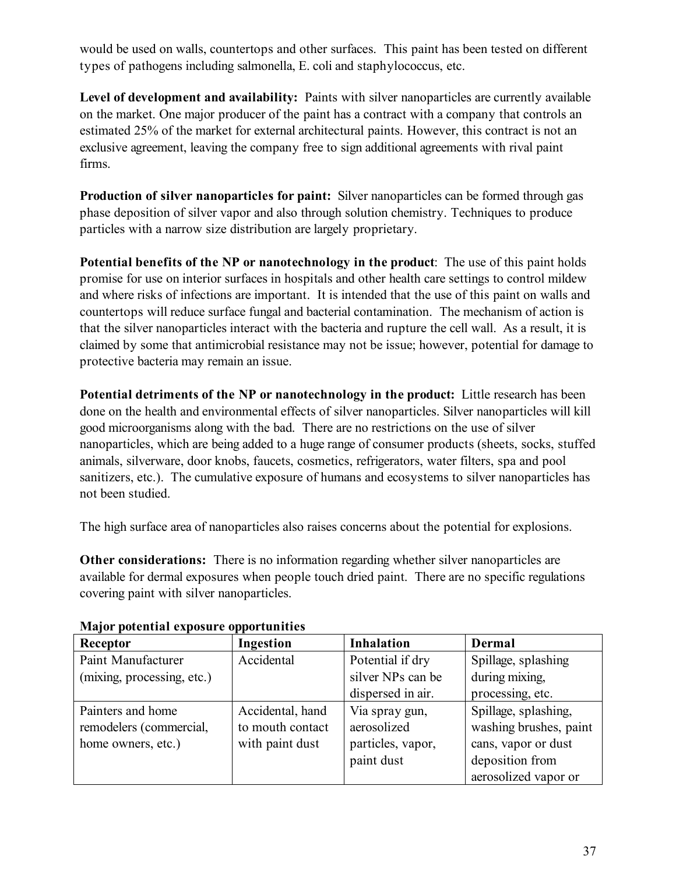would be used on walls, countertops and other surfaces. This paint has been tested on different types of pathogens including salmonella, E. coli and staphylococcus, etc.

**Level of development and availability:** Paints with silver nanoparticles are currently available on the market. One major producer of the paint has a contract with a company that controls an estimated 25% of the market for external architectural paints. However, this contract is not an exclusive agreement, leaving the company free to sign additional agreements with rival paint firms.

**Production of silver nanoparticles for paint:** Silver nanoparticles can be formed through gas phase deposition of silver vapor and also through solution chemistry. Techniques to produce particles with a narrow size distribution are largely proprietary.

**Potential benefits of the NP or nanotechnology in the product**: The use of this paint holds promise for use on interior surfaces in hospitals and other health care settings to control mildew and where risks of infections are important. It is intended that the use of this paint on walls and countertops will reduce surface fungal and bacterial contamination. The mechanism of action is that the silver nanoparticles interact with the bacteria and rupture the cell wall. As a result, it is claimed by some that antimicrobial resistance may not be issue; however, potential for damage to protective bacteria may remain an issue.

**Potential detriments of the NP or nanotechnology in the product:** Little research has been done on the health and environmental effects of silver nanoparticles. Silver nanoparticles will kill good microorganisms along with the bad. There are no restrictions on the use of silver nanoparticles, which are being added to a huge range of consumer products (sheets, socks, stuffed animals, silverware, door knobs, faucets, cosmetics, refrigerators, water filters, spa and pool sanitizers, etc.). The cumulative exposure of humans and ecosystems to silver nanoparticles has not been studied.

The high surface area of nanoparticles also raises concerns about the potential for explosions.

**Other considerations:** There is no information regarding whether silver nanoparticles are available for dermal exposures when people touch dried paint. There are no specific regulations covering paint with silver nanoparticles.

| Receptor                   | Ingestion        | <b>Inhalation</b> | Dermal                 |
|----------------------------|------------------|-------------------|------------------------|
| Paint Manufacturer         | Accidental       | Potential if dry  | Spillage, splashing    |
| (mixing, processing, etc.) |                  | silver NPs can be | during mixing,         |
|                            |                  | dispersed in air. | processing, etc.       |
| Painters and home          | Accidental, hand | Via spray gun,    | Spillage, splashing,   |
| remodelers (commercial,    | to mouth contact | aerosolized       | washing brushes, paint |
| home owners, etc.)         | with paint dust  | particles, vapor, | cans, vapor or dust    |
|                            |                  | paint dust        | deposition from        |
|                            |                  |                   | aerosolized vapor or   |

#### **Major potential exposure opportunities**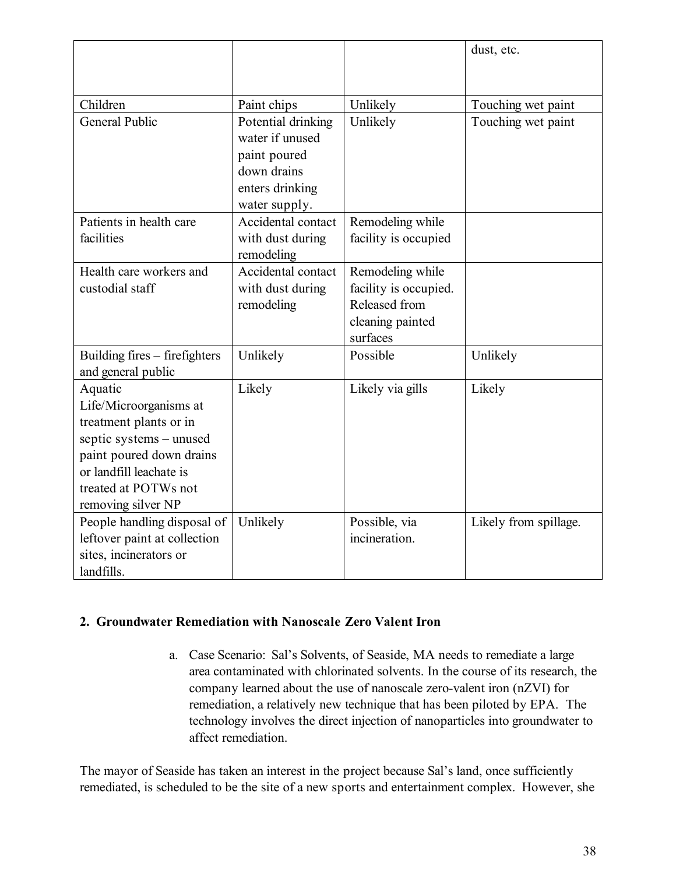|                                      |                    |                                        | dust, etc.            |
|--------------------------------------|--------------------|----------------------------------------|-----------------------|
|                                      |                    |                                        |                       |
| Children                             | Paint chips        | Unlikely                               | Touching wet paint    |
| <b>General Public</b>                | Potential drinking | Unlikely                               | Touching wet paint    |
|                                      | water if unused    |                                        |                       |
|                                      | paint poured       |                                        |                       |
|                                      | down drains        |                                        |                       |
|                                      | enters drinking    |                                        |                       |
|                                      | water supply.      |                                        |                       |
| Patients in health care              | Accidental contact | Remodeling while                       |                       |
| facilities                           | with dust during   | facility is occupied                   |                       |
|                                      | remodeling         |                                        |                       |
| Health care workers and              | Accidental contact | Remodeling while                       |                       |
| custodial staff                      | with dust during   | facility is occupied.<br>Released from |                       |
|                                      | remodeling         |                                        |                       |
|                                      |                    | cleaning painted<br>surfaces           |                       |
| Building fires – firefighters        | Unlikely           | Possible                               | Unlikely              |
| and general public                   |                    |                                        |                       |
| Aquatic                              | Likely             | Likely via gills                       | Likely                |
| Life/Microorganisms at               |                    |                                        |                       |
| treatment plants or in               |                    |                                        |                       |
| septic systems - unused              |                    |                                        |                       |
| paint poured down drains             |                    |                                        |                       |
| or landfill leachate is              |                    |                                        |                       |
| treated at POTWs not                 |                    |                                        |                       |
| removing silver NP                   |                    |                                        |                       |
| People handling disposal of          | Unlikely           | Possible, via                          | Likely from spillage. |
| leftover paint at collection         |                    | incineration.                          |                       |
| sites, incinerators or<br>landfills. |                    |                                        |                       |
|                                      |                    |                                        |                       |

#### **2. Groundwater Remediation with Nanoscale Zero Valent Iron**

a. Case Scenario: Sal's Solvents, of Seaside, MA needs to remediate a large area contaminated with chlorinated solvents. In the course of its research, the company learned about the use of nanoscale zero-valent iron (nZVI) for remediation, a relatively new technique that has been piloted by EPA. The technology involves the direct injection of nanoparticles into groundwater to affect remediation.

The mayor of Seaside has taken an interest in the project because Sal's land, once sufficiently remediated, is scheduled to be the site of a new sports and entertainment complex. However, she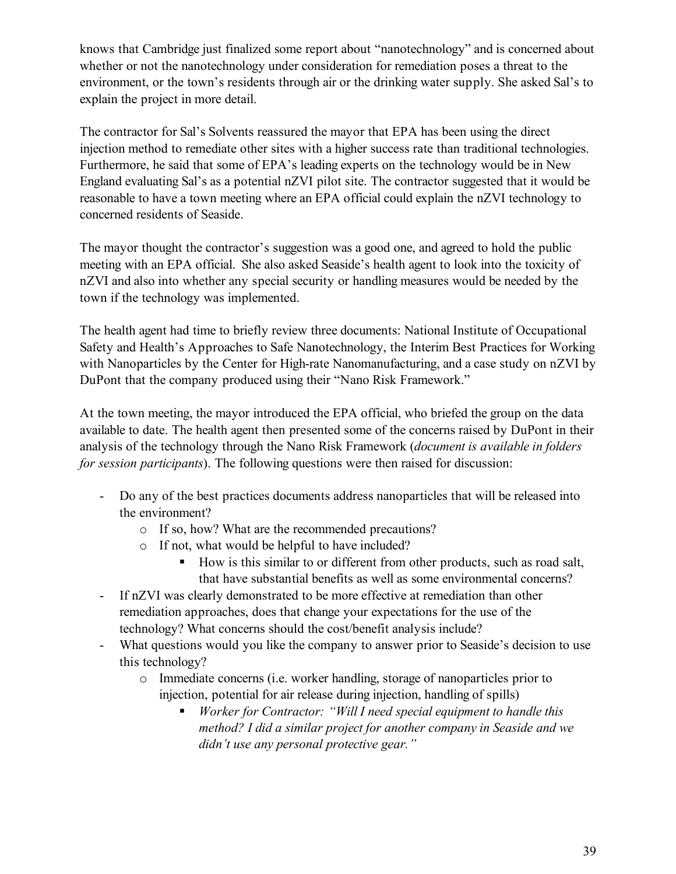knows that Cambridge just finalized some report about "nanotechnology" and is concerned about whether or not the nanotechnology under consideration for remediation poses a threat to the environment, or the town's residents through air or the drinking water supply. She asked Sal's to explain the project in more detail.

The contractor for Sal's Solvents reassured the mayor that EPA has been using the direct injection method to remediate other sites with a higher success rate than traditional technologies. Furthermore, he said that some of EPA's leading experts on the technology would be in New England evaluating Sal's as a potential nZVI pilot site. The contractor suggested that it would be reasonable to have a town meeting where an EPA official could explain the nZVI technology to concerned residents of Seaside.

The mayor thought the contractor's suggestion was a good one, and agreed to hold the public meeting with an EPA official. She also asked Seaside's health agent to look into the toxicity of nZVI and also into whether any special security or handling measures would be needed by the town if the technology was implemented.

The health agent had time to briefly review three documents: National Institute of Occupational Safety and Health's Approaches to Safe Nanotechnology, the Interim Best Practices for Working with Nanoparticles by the Center for High-rate Nanomanufacturing, and a case study on nZVI by DuPont that the company produced using their "Nano Risk Framework."

At the town meeting, the mayor introduced the EPA official, who briefed the group on the data available to date. The health agent then presented some of the concerns raised by DuPont in their analysis of the technology through the Nano Risk Framework (*document is available in folders for session participants*). The following questions were then raised for discussion:

- Do any of the best practices documents address nanoparticles that will be released into the environment?
	- o If so, how? What are the recommended precautions?
	- o If not, what would be helpful to have included?
		- How is this similar to or different from other products, such as road salt, that have substantial benefits as well as some environmental concerns?
- If nZVI was clearly demonstrated to be more effective at remediation than other remediation approaches, does that change your expectations for the use of the technology? What concerns should the cost/benefit analysis include?
- What questions would you like the company to answer prior to Seaside's decision to use this technology?
	- o Immediate concerns (i.e. worker handling, storage of nanoparticles prior to injection, potential for air release during injection, handling of spills)
		- *Worker for Contractor: "Will I need special equipment to handle this method? I did a similar project for another company in Seaside and we didn't use any personal protective gear."*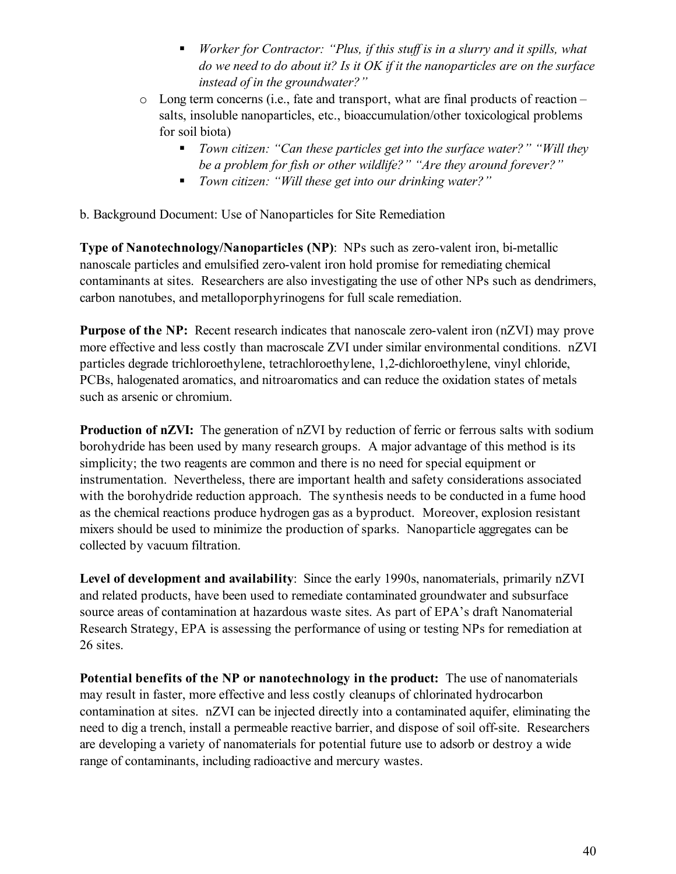- *Worker for Contractor: "Plus, if this stuff is in a slurry and it spills, what do we need to do about it? Is it OK if it the nanoparticles are on the surface instead of in the groundwater?"*
- o Long term concerns (i.e., fate and transport, what are final products of reaction salts, insoluble nanoparticles, etc., bioaccumulation/other toxicological problems for soil biota)
	- *Town citizen: "Can these particles get into the surface water?" "Will they be a problem for fish or other wildlife?" "Are they around forever?"*
	- *Town citizen: "Will these get into our drinking water?"*

b. Background Document: Use of Nanoparticles for Site Remediation

**Type of Nanotechnology/Nanoparticles (NP)**: NPs such as zero-valent iron, bi-metallic nanoscale particles and emulsified zero-valent iron hold promise for remediating chemical contaminants at sites. Researchers are also investigating the use of other NPs such as dendrimers, carbon nanotubes, and metalloporphyrinogens for full scale remediation.

**Purpose of the NP:** Recent research indicates that nanoscale zero-valent iron (nZVI) may prove more effective and less costly than macroscale ZVI under similar environmental conditions. nZVI particles degrade trichloroethylene, tetrachloroethylene, 1,2-dichloroethylene, vinyl chloride, PCBs, halogenated aromatics, and nitroaromatics and can reduce the oxidation states of metals such as arsenic or chromium.

**Production of nZVI:** The generation of nZVI by reduction of ferric or ferrous salts with sodium borohydride has been used by many research groups. A major advantage of this method is its simplicity; the two reagents are common and there is no need for special equipment or instrumentation. Nevertheless, there are important health and safety considerations associated with the borohydride reduction approach. The synthesis needs to be conducted in a fume hood as the chemical reactions produce hydrogen gas as a byproduct.Moreover, explosion resistant mixers should be used to minimize the production of sparks. Nanoparticle aggregates can be collected by vacuum filtration.

**Level of development and availability**: Since the early 1990s, nanomaterials, primarily nZVI and related products, have been used to remediate contaminated groundwater and subsurface source areas of contamination at hazardous waste sites. As part of EPA's draft Nanomaterial Research Strategy, EPA is assessing the performance of using or testing NPs for remediation at 26 sites.

**Potential benefits of the NP or nanotechnology in the product:** The use of nanomaterials may result in faster, more effective and less costly cleanups of chlorinated hydrocarbon contamination at sites. nZVI can be injected directly into a contaminated aquifer, eliminating the need to dig a trench, install a permeable reactive barrier, and dispose of soil off-site. Researchers are developing a variety of nanomaterials for potential future use to adsorb or destroy a wide range of contaminants, including radioactive and mercury wastes.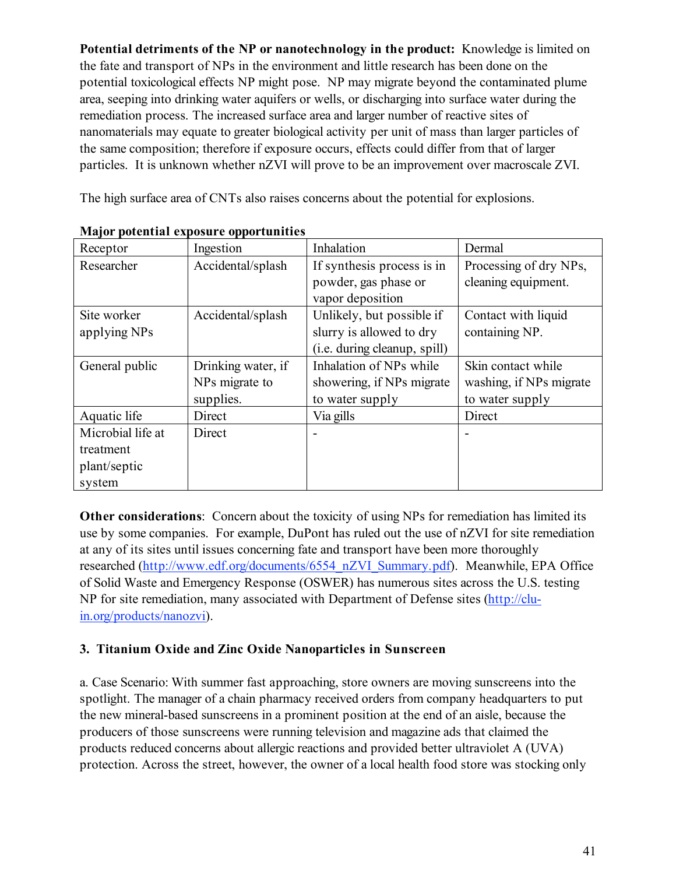**Potential detriments of the NP or nanotechnology in the product:** Knowledge is limited on the fate and transport of NPs in the environment and little research has been done on the potential toxicological effects NP might pose. NP may migrate beyond the contaminated plume area, seeping into drinking water aquifers or wells, or discharging into surface water during the remediation process. The increased surface area and larger number of reactive sites of nanomaterials may equate to greater biological activity per unit of mass than larger particles of the same composition; therefore if exposure occurs, effects could differ from that of larger particles. It is unknown whether nZVI will prove to be an improvement over macroscale ZVI.

The high surface area of CNTs also raises concerns about the potential for explosions.

| Receptor          | Ingestion          | Inhalation                   | Dermal                  |
|-------------------|--------------------|------------------------------|-------------------------|
| Researcher        | Accidental/splash  | If synthesis process is in   | Processing of dry NPs,  |
|                   |                    | powder, gas phase or         | cleaning equipment.     |
|                   |                    | vapor deposition             |                         |
| Site worker       | Accidental/splash  | Unlikely, but possible if    | Contact with liquid     |
| applying NPs      |                    | slurry is allowed to dry     | containing NP.          |
|                   |                    | (i.e. during cleanup, spill) |                         |
| General public    | Drinking water, if | Inhalation of NPs while      | Skin contact while      |
|                   | NPs migrate to     | showering, if NPs migrate    | washing, if NPs migrate |
|                   | supplies.          | to water supply              | to water supply         |
| Aquatic life      | Direct             | Via gills                    | Direct                  |
| Microbial life at | Direct             |                              |                         |
| treatment         |                    |                              |                         |
| plant/septic      |                    |                              |                         |
| system            |                    |                              |                         |

**Major potential exposure opportunities**

**Other considerations**: Concern about the toxicity of using NPs for remediation has limited its use by some companies. For example, DuPont has ruled out the use of nZVI for site remediation at any of its sites until issues concerning fate and transport have been more thoroughly researched (http://www.edf.org/documents/6554\_nZVI\_Summary.pdf). Meanwhile, EPA Office of Solid Waste and Emergency Response (OSWER) has numerous sites across the U.S. testing NP for site remediation, many associated with Department of Defense sites (http://cluin.org/products/nanozvi).

# **3. Titanium Oxide and Zinc Oxide Nanoparticles in Sunscreen**

a. Case Scenario: With summer fast approaching, store owners are moving sunscreens into the spotlight. The manager of a chain pharmacy received orders from company headquarters to put the new mineral-based sunscreens in a prominent position at the end of an aisle, because the producers of those sunscreens were running television and magazine ads that claimed the products reduced concerns about allergic reactions and provided better ultraviolet A (UVA) protection. Across the street, however, the owner of a local health food store was stocking only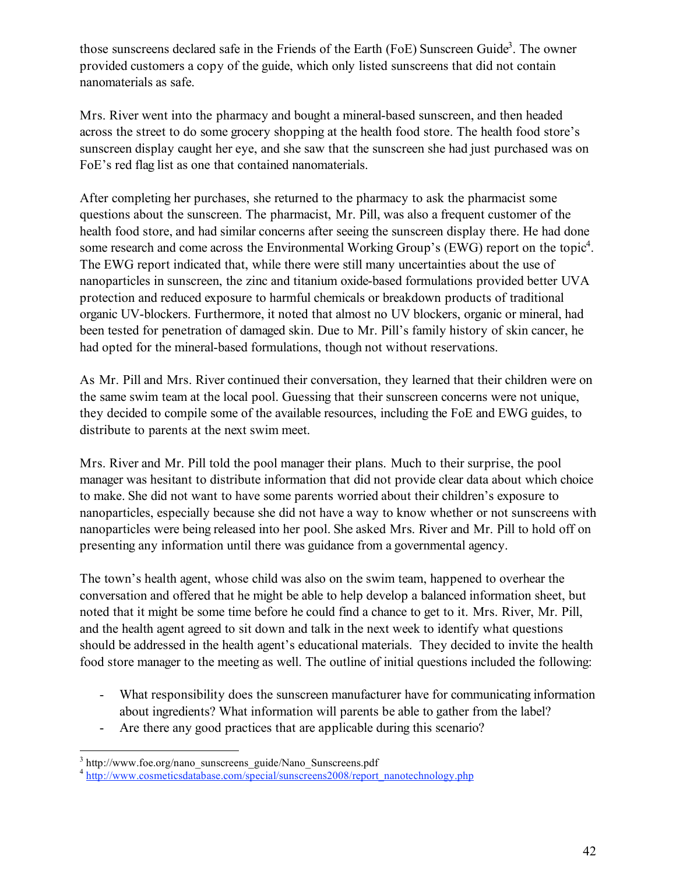those sunscreens declared safe in the Friends of the Earth (FoE) Sunscreen Guide<sup>3</sup>. The owner provided customers a copy of the guide, which only listed sunscreens that did not contain nanomaterials as safe.

Mrs. River went into the pharmacy and bought a mineral-based sunscreen, and then headed across the street to do some grocery shopping at the health food store. The health food store's sunscreen display caught her eye, and she saw that the sunscreen she had just purchased was on FoE's red flag list as one that contained nanomaterials.

After completing her purchases, she returned to the pharmacy to ask the pharmacist some questions about the sunscreen. The pharmacist, Mr. Pill, was also a frequent customer of the health food store, and had similar concerns after seeing the sunscreen display there. He had done some research and come across the Environmental Working Group's (EWG) report on the topic<sup>4</sup>. The EWG report indicated that, while there were still many uncertainties about the use of nanoparticles in sunscreen, the zinc and titanium oxide-based formulations provided better UVA protection and reduced exposure to harmful chemicals or breakdown products of traditional organic UV-blockers. Furthermore, it noted that almost no UV blockers, organic or mineral, had been tested for penetration of damaged skin. Due to Mr. Pill's family history of skin cancer, he had opted for the mineral-based formulations, though not without reservations.

As Mr. Pill and Mrs. River continued their conversation, they learned that their children were on the same swim team at the local pool. Guessing that their sunscreen concerns were not unique, they decided to compile some of the available resources, including the FoE and EWG guides, to distribute to parents at the next swim meet.

Mrs. River and Mr. Pill told the pool manager their plans. Much to their surprise, the pool manager was hesitant to distribute information that did not provide clear data about which choice to make. She did not want to have some parents worried about their children's exposure to nanoparticles, especially because she did not have a way to know whether or not sunscreens with nanoparticles were being released into her pool. She asked Mrs. River and Mr. Pill to hold off on presenting any information until there was guidance from a governmental agency.

The town's health agent, whose child was also on the swim team, happened to overhear the conversation and offered that he might be able to help develop a balanced information sheet, but noted that it might be some time before he could find a chance to get to it. Mrs. River, Mr. Pill, and the health agent agreed to sit down and talk in the next week to identify what questions should be addressed in the health agent's educational materials. They decided to invite the health food store manager to the meeting as well. The outline of initial questions included the following:

- What responsibility does the sunscreen manufacturer have for communicating information about ingredients? What information will parents be able to gather from the label?
- Are there any good practices that are applicable during this scenario?

 $3$  http://www.foe.org/nano\_sunscreens\_guide/Nano\_Sunscreens.pdf

<sup>&</sup>lt;sup>4</sup> http://www.cosmeticsdatabase.com/special/sunscreens2008/report\_nanotechnology.php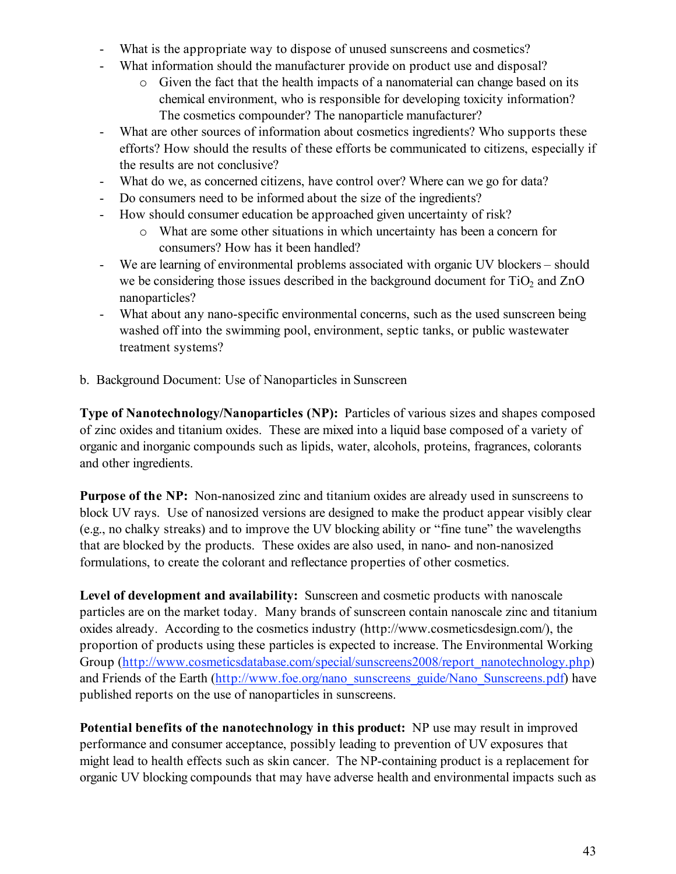- What is the appropriate way to dispose of unused sunscreens and cosmetics?
- What information should the manufacturer provide on product use and disposal?
	- o Given the fact that the health impacts of a nanomaterial can change based on its chemical environment, who is responsible for developing toxicity information? The cosmetics compounder? The nanoparticle manufacturer?
- What are other sources of information about cosmetics ingredients? Who supports these efforts? How should the results of these efforts be communicated to citizens, especially if the results are not conclusive?
- What do we, as concerned citizens, have control over? Where can we go for data?
- Do consumers need to be informed about the size of the ingredients?
- How should consumer education be approached given uncertainty of risk?
	- o What are some other situations in which uncertainty has been a concern for consumers? How has it been handled?
- We are learning of environmental problems associated with organic UV blockers should we be considering those issues described in the background document for  $TiO<sub>2</sub>$  and  $ZnO$ nanoparticles?
- What about any nano-specific environmental concerns, such as the used sunscreen being washed off into the swimming pool, environment, septic tanks, or public wastewater treatment systems?
- b. Background Document: Use of Nanoparticles in Sunscreen

**Type of Nanotechnology/Nanoparticles (NP):** Particles of various sizes and shapes composed of zinc oxides and titanium oxides. These are mixed into a liquid base composed of a variety of organic and inorganic compounds such as lipids, water, alcohols, proteins, fragrances, colorants and other ingredients.

**Purpose of the NP:** Non-nanosized zinc and titanium oxides are already used in sunscreens to block UV rays. Use of nanosized versions are designed to make the product appear visibly clear (e.g., no chalky streaks) and to improve the UV blocking ability or "fine tune" the wavelengths that are blocked by the products. These oxides are also used, in nano- and non-nanosized formulations, to create the colorant and reflectance properties of other cosmetics.

**Level of development and availability:** Sunscreen and cosmetic products with nanoscale particles are on the market today. Many brands of sunscreen contain nanoscale zinc and titanium oxides already. According to the cosmetics industry (http://www.cosmeticsdesign.com/), the proportion of products using these particles is expected to increase. The Environmental Working Group (http://www.cosmeticsdatabase.com/special/sunscreens2008/report\_nanotechnology.php) and Friends of the Earth (http://www.foe.org/nano\_sunscreens\_guide/Nano\_Sunscreens.pdf) have published reports on the use of nanoparticles in sunscreens.

**Potential benefits of the nanotechnology in this product:** NP use may result in improved performance and consumer acceptance, possibly leading to prevention of UV exposures that might lead to health effects such as skin cancer. The NP-containing product is a replacement for organic UV blocking compounds that may have adverse health and environmental impacts such as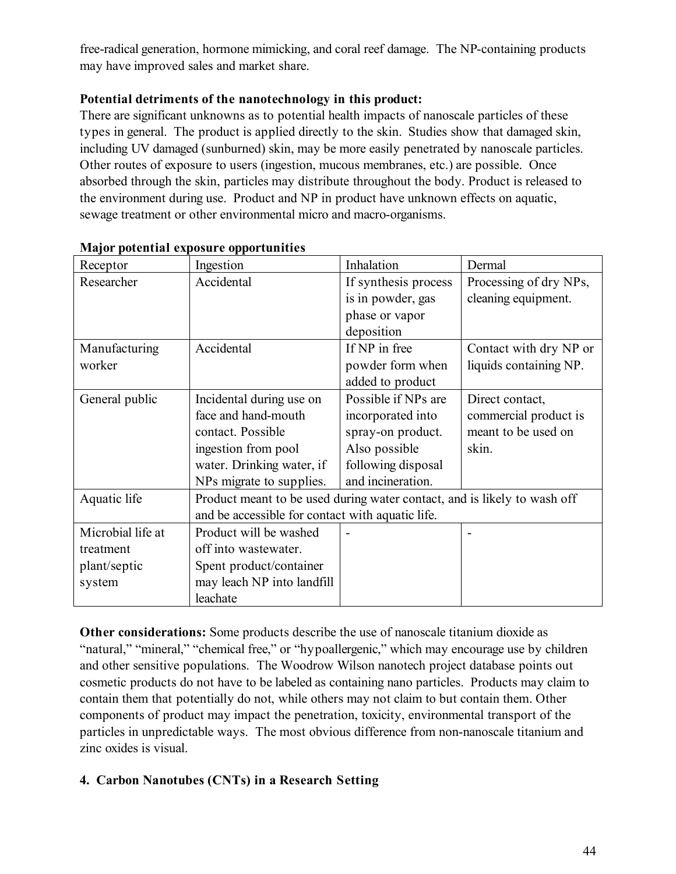free-radical generation, hormone mimicking, and coral reef damage. The NP-containing products may have improved sales and market share.

# **Potential detriments of the nanotechnology in this product:**

There are significant unknowns as to potential health impacts of nanoscale particles of these types in general. The product is applied directly to the skin. Studies show that damaged skin, including UV damaged (sunburned) skin, may be more easily penetrated by nanoscale particles. Other routes of exposure to users (ingestion, mucous membranes, etc.) are possible. Once absorbed through the skin, particles may distribute throughout the body. Product is released to the environment during use. Product and NP in product have unknown effects on aquatic, sewage treatment or other environmental micro and macro-organisms.

| Receptor          | Ingestion                                                                | Inhalation           | Dermal                 |
|-------------------|--------------------------------------------------------------------------|----------------------|------------------------|
| Researcher        | Accidental                                                               | If synthesis process | Processing of dry NPs, |
|                   |                                                                          | is in powder, gas    | cleaning equipment.    |
|                   |                                                                          | phase or vapor       |                        |
|                   |                                                                          | deposition           |                        |
| Manufacturing     | Accidental                                                               | If NP in free        | Contact with dry NP or |
| worker            |                                                                          | powder form when     | liquids containing NP. |
|                   |                                                                          | added to product     |                        |
| General public    | Incidental during use on                                                 | Possible if NPs are  | Direct contact,        |
|                   | face and hand-mouth                                                      | incorporated into    | commercial product is  |
|                   | contact. Possible                                                        | spray-on product.    | meant to be used on    |
|                   | ingestion from pool                                                      | Also possible        | skin.                  |
|                   | water. Drinking water, if                                                | following disposal   |                        |
|                   | NPs migrate to supplies.                                                 | and incineration.    |                        |
| Aquatic life      | Product meant to be used during water contact, and is likely to wash off |                      |                        |
|                   | and be accessible for contact with aquatic life.                         |                      |                        |
| Microbial life at | Product will be washed                                                   |                      |                        |
| treatment         | off into wastewater.                                                     |                      |                        |
| plant/septic      | Spent product/container                                                  |                      |                        |
| system            | may leach NP into landfill                                               |                      |                        |
|                   | leachate                                                                 |                      |                        |

# **Major potential exposure opportunities**

**Other considerations:** Some products describe the use of nanoscale titanium dioxide as "natural," "mineral," "chemical free," or "hypoallergenic," which may encourage use by children and other sensitive populations.The Woodrow Wilson nanotech project database points out cosmetic products do not have to be labeled as containing nano particles. Products may claim to contain them that potentially do not, while others may not claim to but contain them. Other components of product may impact the penetration, toxicity, environmental transport of the particles in unpredictable ways. The most obvious difference from non-nanoscale titanium and zinc oxides is visual.

# **4. Carbon Nanotubes (CNTs) in a Research Setting**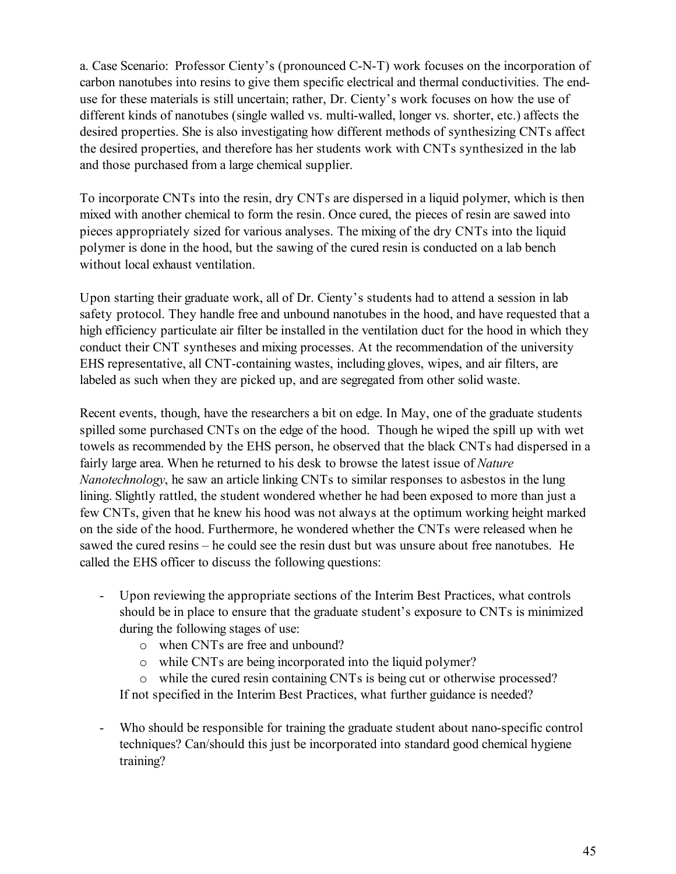a. Case Scenario: Professor Cienty's (pronounced C-N-T) work focuses on the incorporation of carbon nanotubes into resins to give them specific electrical and thermal conductivities. The enduse for these materials is still uncertain; rather, Dr. Cienty's work focuses on how the use of different kinds of nanotubes (single walled vs. multi-walled, longer vs. shorter, etc.) affects the desired properties. She is also investigating how different methods of synthesizing CNTs affect the desired properties, and therefore has her students work with CNTs synthesized in the lab and those purchased from a large chemical supplier.

To incorporate CNTs into the resin, dry CNTs are dispersed in a liquid polymer, which is then mixed with another chemical to form the resin. Once cured, the pieces of resin are sawed into pieces appropriately sized for various analyses. The mixing of the dry CNTs into the liquid polymer is done in the hood, but the sawing of the cured resin is conducted on a lab bench without local exhaust ventilation.

Upon starting their graduate work, all of Dr. Cienty's students had to attend a session in lab safety protocol. They handle free and unbound nanotubes in the hood, and have requested that a high efficiency particulate air filter be installed in the ventilation duct for the hood in which they conduct their CNT syntheses and mixing processes. At the recommendation of the university EHS representative, all CNT-containing wastes, including gloves, wipes, and air filters, are labeled as such when they are picked up, and are segregated from other solid waste.

Recent events, though, have the researchers a bit on edge. In May, one of the graduate students spilled some purchased CNTs on the edge of the hood. Though he wiped the spill up with wet towels as recommended by the EHS person, he observed that the black CNTs had dispersed in a fairly large area. When he returned to his desk to browse the latest issue of *Nature Nanotechnology*, he saw an article linking CNTs to similar responses to asbestos in the lung lining. Slightly rattled, the student wondered whether he had been exposed to more than just a few CNTs, given that he knew his hood was not always at the optimum working height marked on the side of the hood. Furthermore, he wondered whether the CNTs were released when he sawed the cured resins – he could see the resin dust but was unsure about free nanotubes. He called the EHS officer to discuss the following questions:

- Upon reviewing the appropriate sections of the Interim Best Practices, what controls should be in place to ensure that the graduate student's exposure to CNTs is minimized during the following stages of use:
	- o when CNTs are free and unbound?
	- o while CNTs are being incorporated into the liquid polymer?

o while the cured resin containing CNTs is being cut or otherwise processed? If not specified in the Interim Best Practices, what further guidance is needed?

Who should be responsible for training the graduate student about nano-specific control techniques? Can/should this just be incorporated into standard good chemical hygiene training?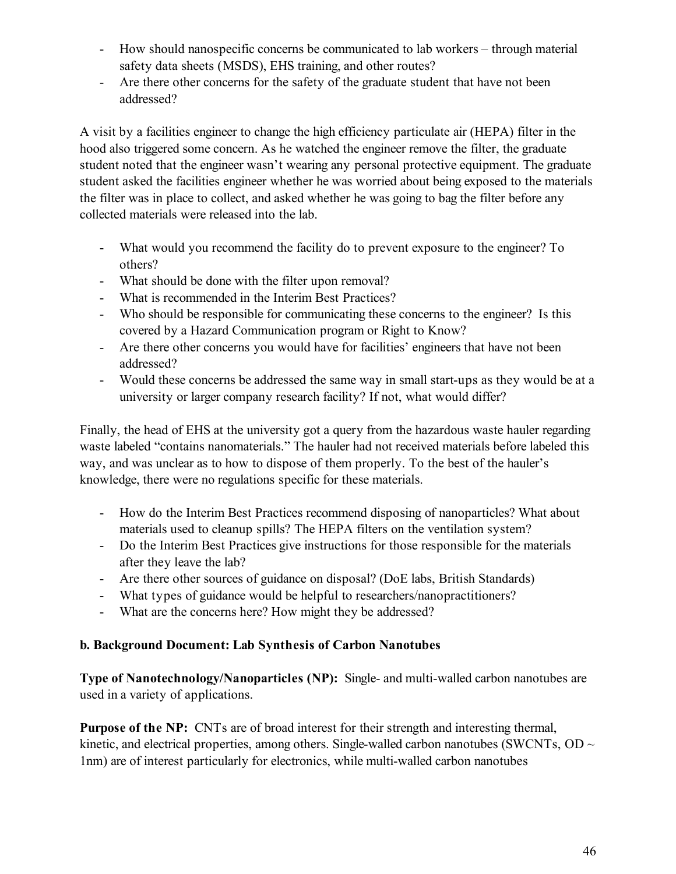- How should nanospecific concerns be communicated to lab workers through material safety data sheets (MSDS), EHS training, and other routes?
- Are there other concerns for the safety of the graduate student that have not been addressed?

A visit by a facilities engineer to change the high efficiency particulate air (HEPA) filter in the hood also triggered some concern. As he watched the engineer remove the filter, the graduate student noted that the engineer wasn't wearing any personal protective equipment. The graduate student asked the facilities engineer whether he was worried about being exposed to the materials the filter was in place to collect, and asked whether he was going to bag the filter before any collected materials were released into the lab.

- What would you recommend the facility do to prevent exposure to the engineer? To others?
- What should be done with the filter upon removal?
- What is recommended in the Interim Best Practices?
- Who should be responsible for communicating these concerns to the engineer? Is this covered by a Hazard Communication program or Right to Know?
- Are there other concerns you would have for facilities' engineers that have not been addressed?
- Would these concerns be addressed the same way in small start-ups as they would be at a university or larger company research facility? If not, what would differ?

Finally, the head of EHS at the university got a query from the hazardous waste hauler regarding waste labeled "contains nanomaterials." The hauler had not received materials before labeled this way, and was unclear as to how to dispose of them properly. To the best of the hauler's knowledge, there were no regulations specific for these materials.

- How do the Interim Best Practices recommend disposing of nanoparticles? What about materials used to cleanup spills? The HEPA filters on the ventilation system?
- Do the Interim Best Practices give instructions for those responsible for the materials after they leave the lab?
- Are there other sources of guidance on disposal? (DoE labs, British Standards)
- What types of guidance would be helpful to researchers/nanopractitioners?
- What are the concerns here? How might they be addressed?

# **b. Background Document: Lab Synthesis of Carbon Nanotubes**

**Type of Nanotechnology/Nanoparticles (NP):** Single- and multi-walled carbon nanotubes are used in a variety of applications.

**Purpose of the NP:** CNTs are of broad interest for their strength and interesting thermal, kinetic, and electrical properties, among others. Single-walled carbon nanotubes (SWCNTs, OD  $\sim$ 1nm) are of interest particularly for electronics, while multi-walled carbon nanotubes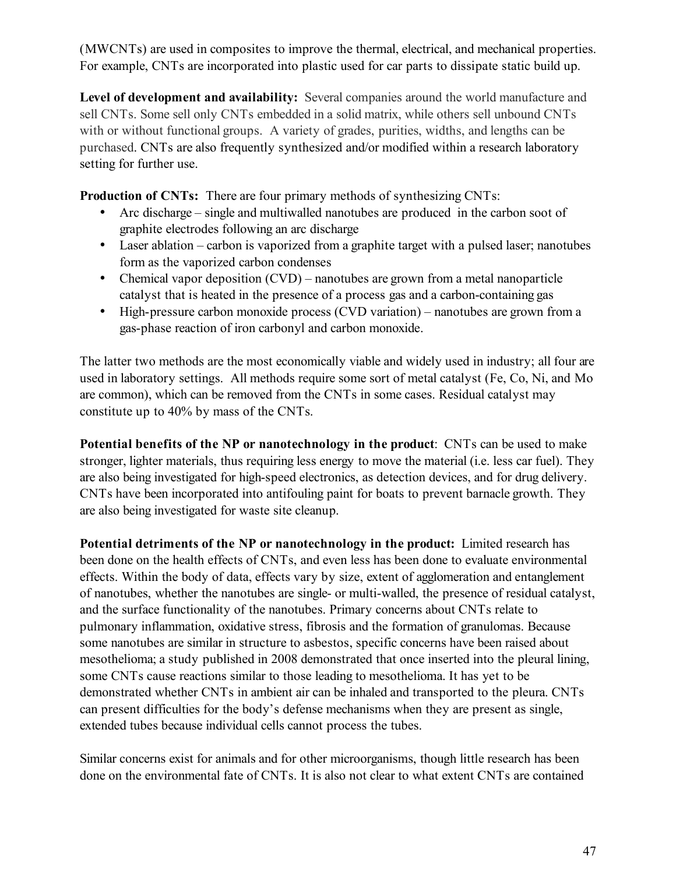(MWCNTs) are used in composites to improve the thermal, electrical, and mechanical properties. For example, CNTs are incorporated into plastic used for car parts to dissipate static build up.

**Level of development and availability:** Several companies around the world manufacture and sell CNTs. Some sell only CNTs embedded in a solid matrix, while others sell unbound CNTs with or without functional groups. A variety of grades, purities, widths, and lengths can be purchased. CNTs are also frequently synthesized and/or modified within a research laboratory setting for further use.

**Production of CNTs:** There are four primary methods of synthesizing CNTs:

- Arc discharge single and multiwalled nanotubes are produced in the carbon soot of graphite electrodes following an arc discharge
- Laser ablation carbon is vaporized from a graphite target with a pulsed laser; nanotubes form as the vaporized carbon condenses
- Chemical vapor deposition (CVD) nanotubes are grown from a metal nanoparticle catalyst that is heated in the presence of a process gas and a carbon-containing gas
- High-pressure carbon monoxide process (CVD variation) nanotubes are grown from a gas-phase reaction of iron carbonyl and carbon monoxide.

The latter two methods are the most economically viable and widely used in industry; all four are used in laboratory settings. All methods require some sort of metal catalyst (Fe, Co, Ni, and Mo are common), which can be removed from the CNTs in some cases. Residual catalyst may constitute up to 40% by mass of the CNTs.

**Potential benefits of the NP or nanotechnology in the product**: CNTs can be used to make stronger, lighter materials, thus requiring less energy to move the material (i.e. less car fuel). They are also being investigated for high-speed electronics, as detection devices, and for drug delivery. CNTs have been incorporated into antifouling paint for boats to prevent barnacle growth. They are also being investigated for waste site cleanup.

**Potential detriments of the NP or nanotechnology in the product:** Limited research has been done on the health effects of CNTs, and even less has been done to evaluate environmental effects. Within the body of data, effects vary by size, extent of agglomeration and entanglement of nanotubes, whether the nanotubes are single- or multi-walled, the presence of residual catalyst, and the surface functionality of the nanotubes. Primary concerns about CNTs relate to pulmonary inflammation, oxidative stress, fibrosis and the formation of granulomas. Because some nanotubes are similar in structure to asbestos, specific concerns have been raised about mesothelioma; a study published in 2008 demonstrated that once inserted into the pleural lining, some CNTs cause reactions similar to those leading to mesothelioma. It has yet to be demonstrated whether CNTs in ambient air can be inhaled and transported to the pleura. CNTs can present difficulties for the body's defense mechanisms when they are present as single, extended tubes because individual cells cannot process the tubes.

Similar concerns exist for animals and for other microorganisms, though little research has been done on the environmental fate of CNTs. It is also not clear to what extent CNTs are contained